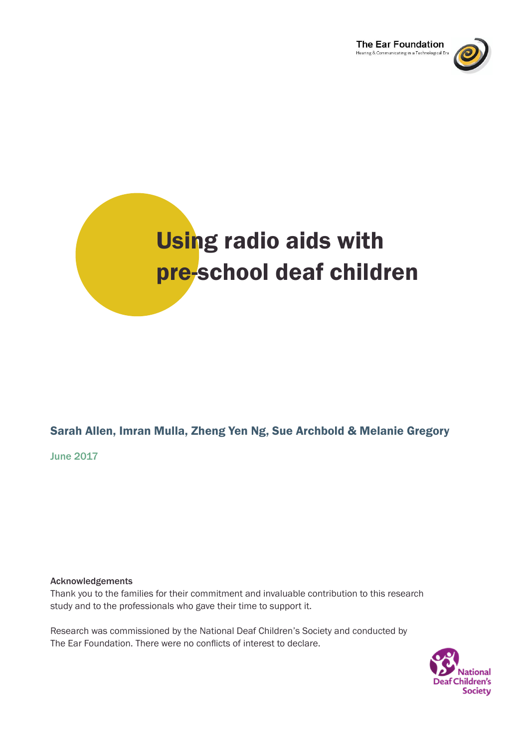



## Sarah Allen, Imran Mulla, Zheng Yen Ng, Sue Archbold & Melanie Gregory

June 2017

### Acknowledgements

Thank you to the families for their commitment and invaluable contribution to this research study and to the professionals who gave their time to support it.

Research was commissioned by the National Deaf Children's Society and conducted by The Ear Foundation. There were no conflicts of interest to declare.

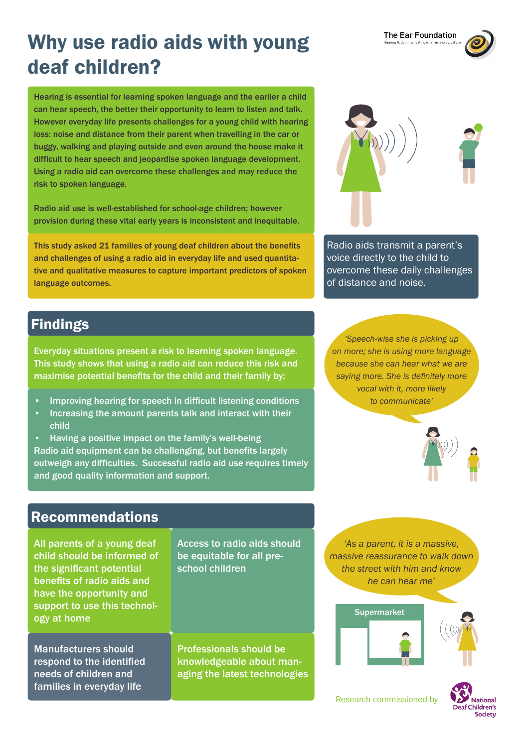# Why use radio aids with young deaf children?

Hearing is essential for learning spoken language and the earlier a child can hear speech, the better their opportunity to learn to listen and talk. However everyday life presents challenges for a young child with hearing loss: noise and distance from their parent when travelling in the car or buggy, walking and playing outside and even around the house make it difficult to hear speech and jeopardise spoken language development. Using a radio aid can overcome these challenges and may reduce the risk to spoken language.

Radio aid use is well-established for school-age children; however provision during these vital early years is inconsistent and inequitable.

This study asked 21 families of young deaf children about the benefits and challenges of using a radio aid in everyday life and used quantitative and qualitative measures to capture important predictors of spoken language outcomes.

Radio aids transmit a parent's voice directly to the child to overcome these daily challenges of distance and noise.

## Findings

Everyday situations present a risk to learning spoken language. This study shows that using a radio aid can reduce this risk and maximise potential benefits for the child and their family by:

- Improving hearing for speech in difficult listening conditions
- Increasing the amount parents talk and interact with their child
- Having a positive impact on the family's well-being Radio aid equipment can be challenging, but benefits largely outweigh any difficulties. Successful radio aid use requires timely and good quality information and support.

*'Speech-wise she is picking up on more; she is using more language because she can hear what we are saying more. She is definitely more vocal with it, more likely to communicate'*



## Recommendations

All parents of a young deaf child should be informed of the significant potential benefits of radio aids and have the opportunity and support to use this technology at home

Access to radio aids should be equitable for all preschool children

Manufacturers should respond to the identified needs of children and families in everyday life

Professionals should be knowledgeable about managing the latest technologies

*'As a parent, it is a massive, massive reassurance to walk down the street with him and know he can hear me'*





Research commissioned by





The Ear Foundation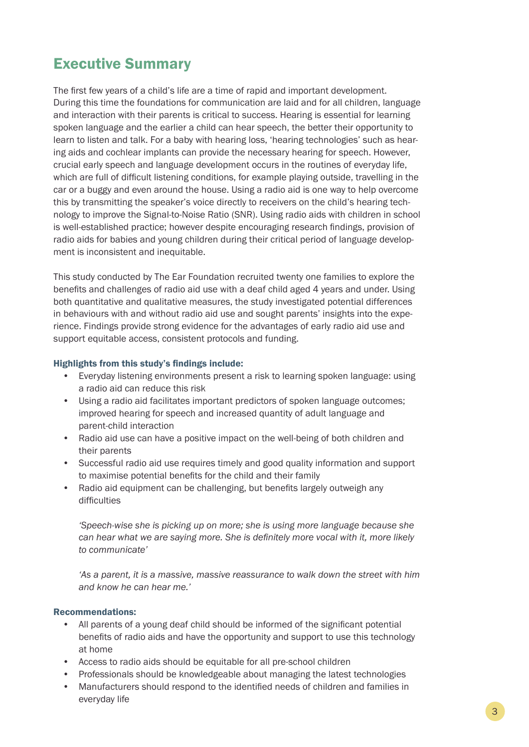## Executive Summary

The first few years of a child's life are a time of rapid and important development. During this time the foundations for communication are laid and for all children, language and interaction with their parents is critical to success. Hearing is essential for learning spoken language and the earlier a child can hear speech, the better their opportunity to learn to listen and talk. For a baby with hearing loss, 'hearing technologies' such as hearing aids and cochlear implants can provide the necessary hearing for speech. However, crucial early speech and language development occurs in the routines of everyday life, which are full of difficult listening conditions, for example playing outside, travelling in the car or a buggy and even around the house. Using a radio aid is one way to help overcome this by transmitting the speaker's voice directly to receivers on the child's hearing technology to improve the Signal-to-Noise Ratio (SNR). Using radio aids with children in school is well-established practice; however despite encouraging research findings, provision of radio aids for babies and young children during their critical period of language development is inconsistent and inequitable.

This study conducted by The Ear Foundation recruited twenty one families to explore the benefits and challenges of radio aid use with a deaf child aged 4 years and under. Using both quantitative and qualitative measures, the study investigated potential differences in behaviours with and without radio aid use and sought parents' insights into the experience. Findings provide strong evidence for the advantages of early radio aid use and support equitable access, consistent protocols and funding.

## Highlights from this study's findings include:

- Everyday listening environments present a risk to learning spoken language: using a radio aid can reduce this risk
- Using a radio aid facilitates important predictors of spoken language outcomes; improved hearing for speech and increased quantity of adult language and parent-child interaction
- Radio aid use can have a positive impact on the well-being of both children and their parents
- Successful radio aid use requires timely and good quality information and support to maximise potential benefits for the child and their family
- Radio aid equipment can be challenging, but benefits largely outweigh any difficulties

*'Speech-wise she is picking up on more; she is using more language because she can hear what we are saying more. She is definitely more vocal with it, more likely to communicate'*

*'As a parent, it is a massive, massive reassurance to walk down the street with him and know he can hear me.'*

## Recommendations:

- All parents of a young deaf child should be informed of the significant potential benefits of radio aids and have the opportunity and support to use this technology at home
- Access to radio aids should be equitable for all pre-school children
- Professionals should be knowledgeable about managing the latest technologies
- Manufacturers should respond to the identified needs of children and families in everyday life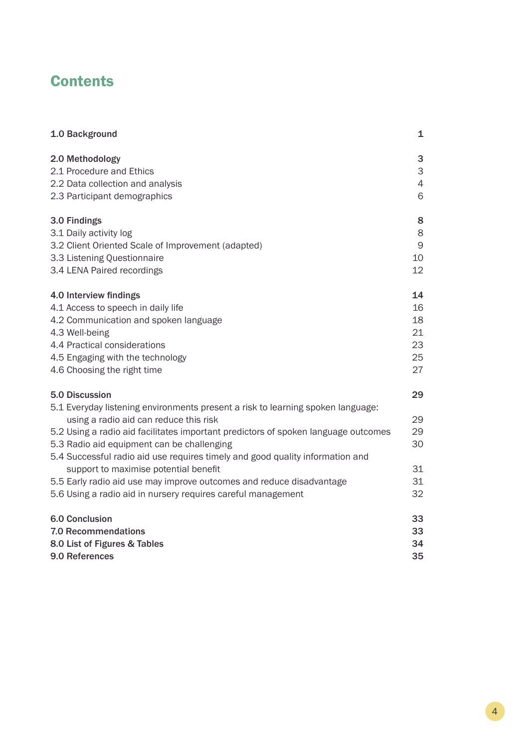## **Contents**

| 1.0 Background                                                                                                            | 1              |
|---------------------------------------------------------------------------------------------------------------------------|----------------|
| 2.0 Methodology                                                                                                           | 3              |
| 2.1 Procedure and Ethics                                                                                                  | 3              |
| 2.2 Data collection and analysis                                                                                          | $\overline{4}$ |
| 2.3 Participant demographics                                                                                              | 6              |
| 3.0 Findings                                                                                                              | 8              |
| 3.1 Daily activity log                                                                                                    | 8              |
| 3.2 Client Oriented Scale of Improvement (adapted)                                                                        | $\mathsf 9$    |
| 3.3 Listening Questionnaire                                                                                               | 10             |
| 3.4 LENA Paired recordings                                                                                                | 12             |
| 4.0 Interview findings                                                                                                    | 14             |
| 4.1 Access to speech in daily life                                                                                        | 16             |
| 4.2 Communication and spoken language                                                                                     | 18             |
| 4.3 Well-being                                                                                                            | 21             |
| 4.4 Practical considerations                                                                                              | 23             |
| 4.5 Engaging with the technology                                                                                          | 25             |
| 4.6 Choosing the right time                                                                                               | 27             |
| 5.0 Discussion                                                                                                            | 29             |
| 5.1 Everyday listening environments present a risk to learning spoken language:<br>using a radio aid can reduce this risk | 29             |
| 5.2 Using a radio aid facilitates important predictors of spoken language outcomes                                        | 29             |
| 5.3 Radio aid equipment can be challenging                                                                                | 30             |
| 5.4 Successful radio aid use requires timely and good quality information and                                             |                |
| support to maximise potential benefit                                                                                     | 31             |
| 5.5 Early radio aid use may improve outcomes and reduce disadvantage                                                      | 31             |
| 5.6 Using a radio aid in nursery requires careful management                                                              | 32             |
| <b>6.0 Conclusion</b>                                                                                                     | 33             |
| <b>7.0 Recommendations</b>                                                                                                | 33             |
| 8.0 List of Figures & Tables                                                                                              | 34             |
| 9.0 References                                                                                                            | 35             |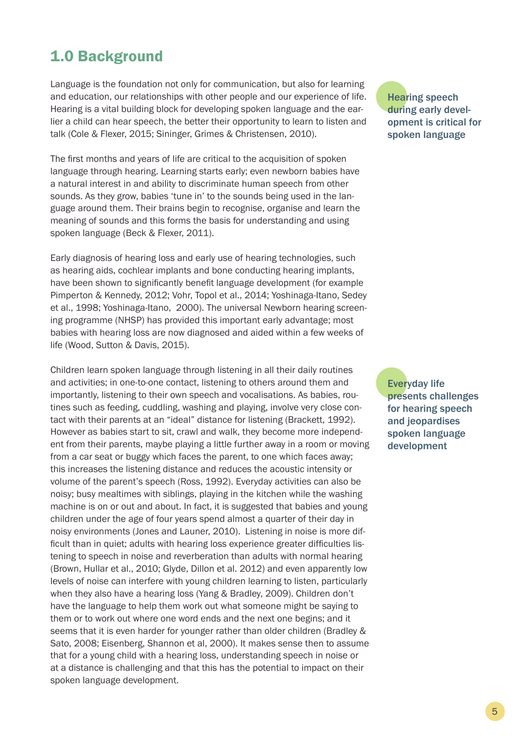## 1.0 Background

Language is the foundation not only for communication, but also for learning and education, our relationships with other people and our experience of life. Hearing is a vital building block for developing spoken language and the earlier a child can hear speech, the better their opportunity to learn to listen and talk (Cole & Flexer, 2015; Sininger, Grimes & Christensen, 2010).

The first months and years of life are critical to the acquisition of spoken language through hearing. Learning starts early; even newborn babies have a natural interest in and ability to discriminate human speech from other sounds. As they grow, babies 'tune in' to the sounds being used in the language around them. Their brains begin to recognise, organise and learn the meaning of sounds and this forms the basis for understanding and using spoken language (Beck & Flexer, 2011).

Early diagnosis of hearing loss and early use of hearing technologies, such as hearing aids, cochlear implants and bone conducting hearing implants, have been shown to significantly benefit language development (for example Pimperton & Kennedy, 2012; Vohr, Topol et al., 2014; Yoshinaga-Itano, Sedey et al., 1998; Yoshinaga-Itano, 2000). The universal Newborn hearing screening programme (NHSP) has provided this important early advantage; most babies with hearing loss are now diagnosed and aided within a few weeks of life (Wood, Sutton & Davis, 2015).

Children learn spoken language through listening in all their daily routines and activities; in one-to-one contact, listening to others around them and importantly, listening to their own speech and vocalisations. As babies, routines such as feeding, cuddling, washing and playing, involve very close contact with their parents at an "ideal" distance for listening (Brackett, 1992). However as babies start to sit, crawl and walk, they become more independent from their parents, maybe playing a little further away in a room or moving from a car seat or buggy which faces the parent, to one which faces away; this increases the listening distance and reduces the acoustic intensity or volume of the parent's speech (Ross, 1992). Everyday activities can also be noisy; busy mealtimes with siblings, playing in the kitchen while the washing machine is on or out and about. In fact, it is suggested that babies and young children under the age of four years spend almost a quarter of their day in noisy environments (Jones and Launer, 2010). Listening in noise is more difficult than in quiet; adults with hearing loss experience greater difficulties listening to speech in noise and reverberation than adults with normal hearing (Brown, Hullar et al., 2010; Glyde, Dillon et al. 2012) and even apparently low levels of noise can interfere with young children learning to listen, particularly when they also have a hearing loss (Yang & Bradley, 2009). Children don't have the language to help them work out what someone might be saying to them or to work out where one word ends and the next one begins; and it seems that it is even harder for younger rather than older children (Bradley & Sato, 2008; Eisenberg, Shannon et al, 2000). It makes sense then to assume that for a young child with a hearing loss, understanding speech in noise or at a distance is challenging and that this has the potential to impact on their spoken language development.

Hearing speech during early development is critical for spoken language

Everyday life presents challenges for hearing speech and jeopardises spoken language development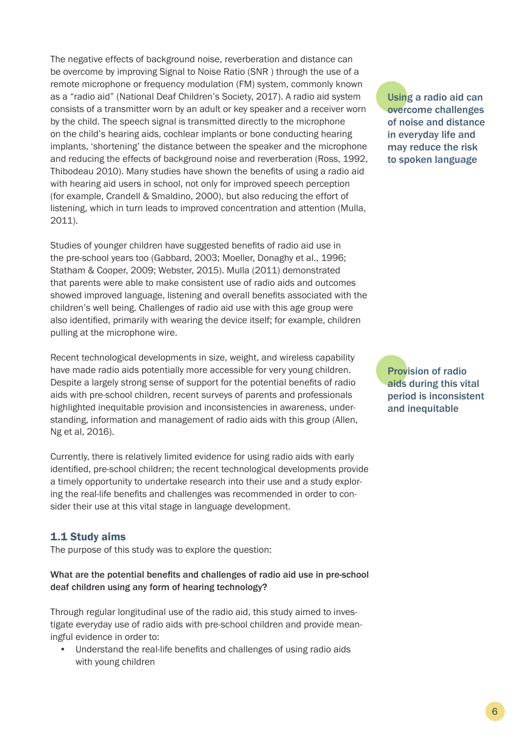The negative effects of background noise, reverberation and distance can be overcome by improving Signal to Noise Ratio (SNR ) through the use of a remote microphone or frequency modulation (FM) system, commonly known as a "radio aid" (National Deaf Children's Society, 2017). A radio aid system consists of a transmitter worn by an adult or key speaker and a receiver worn by the child. The speech signal is transmitted directly to the microphone on the child's hearing aids, cochlear implants or bone conducting hearing implants, 'shortening' the distance between the speaker and the microphone and reducing the effects of background noise and reverberation (Ross, 1992, Thibodeau 2010). Many studies have shown the benefits of using a radio aid with hearing aid users in school, not only for improved speech perception (for example, Crandell & Smaldino, 2000), but also reducing the effort of listening, which in turn leads to improved concentration and attention (Mulla, 2011).

Studies of younger children have suggested benefits of radio aid use in the pre-school years too (Gabbard, 2003; Moeller, Donaghy et al., 1996; Statham & Cooper, 2009; Webster, 2015). Mulla (2011) demonstrated that parents were able to make consistent use of radio aids and outcomes showed improved language, listening and overall benefits associated with the children's well being. Challenges of radio aid use with this age group were also identified, primarily with wearing the device itself; for example, children pulling at the microphone wire.

Recent technological developments in size, weight, and wireless capability have made radio aids potentially more accessible for very young children. Despite a largely strong sense of support for the potential benefits of radio aids with pre-school children, recent surveys of parents and professionals highlighted inequitable provision and inconsistencies in awareness, understanding, information and management of radio aids with this group (Allen, Ng et al, 2016).

Currently, there is relatively limited evidence for using radio aids with early identified, pre-school children; the recent technological developments provide a timely opportunity to undertake research into their use and a study exploring the real-life benefits and challenges was recommended in order to consider their use at this vital stage in language development.

## 1.1 Study aims

The purpose of this study was to explore the question:

What are the potential benefits and challenges of radio aid use in pre-school deaf children using any form of hearing technology?

Through regular longitudinal use of the radio aid, this study aimed to investigate everyday use of radio aids with pre-school children and provide meaningful evidence in order to:

• Understand the real-life benefits and challenges of using radio aids with young children

Using a radio aid can overcome challenges of noise and distance in everyday life and may reduce the risk to spoken language

Provision of radio aids during this vital period is inconsistent and inequitable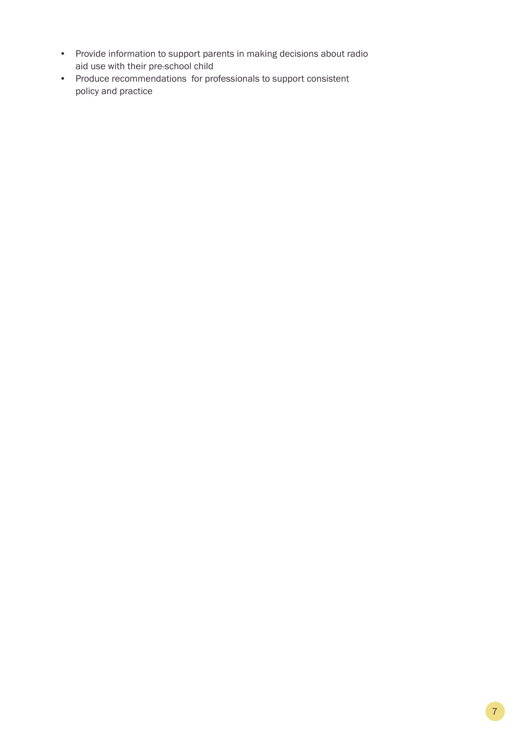- Provide information to support parents in making decisions about radio aid use with their pre-school child
- Produce recommendations for professionals to support consistent policy and practice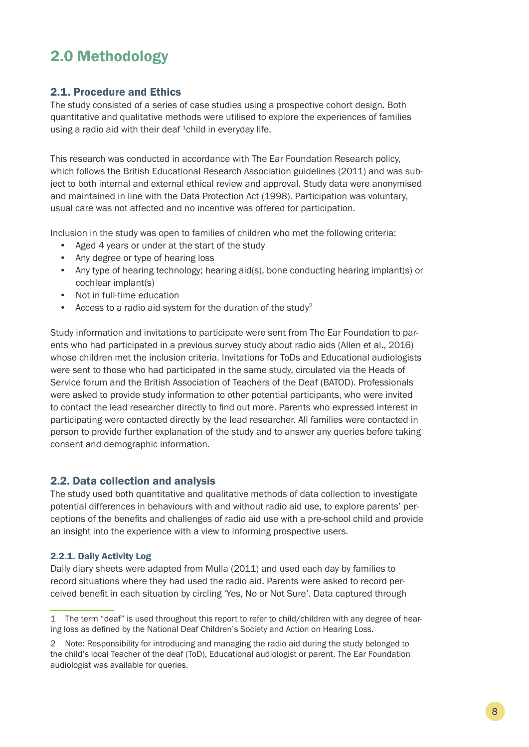## 2.0 Methodology

## 2.1. Procedure and Ethics

The study consisted of a series of case studies using a prospective cohort design. Both quantitative and qualitative methods were utilised to explore the experiences of families using a radio aid with their deaf  ${}^{1}$ child in everyday life.

This research was conducted in accordance with The Ear Foundation Research policy, which follows the British Educational Research Association guidelines (2011) and was subject to both internal and external ethical review and approval. Study data were anonymised and maintained in line with the Data Protection Act (1998). Participation was voluntary, usual care was not affected and no incentive was offered for participation.

Inclusion in the study was open to families of children who met the following criteria:

- Aged 4 years or under at the start of the study
- Any degree or type of hearing loss
- Any type of hearing technology; hearing aid(s), bone conducting hearing implant(s) or cochlear implant(s)
- Not in full-time education
- Access to a radio aid system for the duration of the study<sup>2</sup>

Study information and invitations to participate were sent from The Ear Foundation to parents who had participated in a previous survey study about radio aids (Allen et al., 2016) whose children met the inclusion criteria. Invitations for ToDs and Educational audiologists were sent to those who had participated in the same study, circulated via the Heads of Service forum and the British Association of Teachers of the Deaf (BATOD). Professionals were asked to provide study information to other potential participants, who were invited to contact the lead researcher directly to find out more. Parents who expressed interest in participating were contacted directly by the lead researcher. All families were contacted in person to provide further explanation of the study and to answer any queries before taking consent and demographic information.

## 2.2. Data collection and analysis

The study used both quantitative and qualitative methods of data collection to investigate potential differences in behaviours with and without radio aid use, to explore parents' perceptions of the benefits and challenges of radio aid use with a pre-school child and provide an insight into the experience with a view to informing prospective users.

## 2.2.1. Daily Activity Log

Daily diary sheets were adapted from Mulla (2011) and used each day by families to record situations where they had used the radio aid. Parents were asked to record perceived benefit in each situation by circling 'Yes, No or Not Sure'. Data captured through

<sup>1</sup> The term "deaf" is used throughout this report to refer to child/children with any degree of hearing loss as defined by the National Deaf Children's Society and Action on Hearing Loss.

<sup>2</sup> Note: Responsibility for introducing and managing the radio aid during the study belonged to the child's local Teacher of the deaf (ToD), Educational audiologist or parent. The Ear Foundation audiologist was available for queries.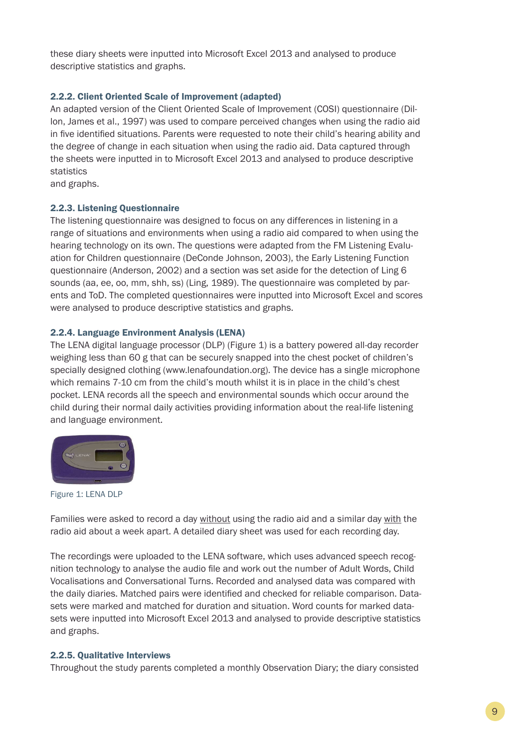these diary sheets were inputted into Microsoft Excel 2013 and analysed to produce descriptive statistics and graphs.

## 2.2.2. Client Oriented Scale of Improvement (adapted)

An adapted version of the Client Oriented Scale of Improvement (COSI) questionnaire (Dillon, James et al., 1997) was used to compare perceived changes when using the radio aid in five identified situations. Parents were requested to note their child's hearing ability and the degree of change in each situation when using the radio aid. Data captured through the sheets were inputted in to Microsoft Excel 2013 and analysed to produce descriptive statistics

and graphs.

## 2.2.3. Listening Questionnaire

The listening questionnaire was designed to focus on any differences in listening in a range of situations and environments when using a radio aid compared to when using the hearing technology on its own. The questions were adapted from the FM Listening Evaluation for Children questionnaire (DeConde Johnson, 2003), the Early Listening Function questionnaire (Anderson, 2002) and a section was set aside for the detection of Ling 6 sounds (aa, ee, oo, mm, shh, ss) (Ling, 1989). The questionnaire was completed by parents and ToD. The completed questionnaires were inputted into Microsoft Excel and scores were analysed to produce descriptive statistics and graphs.

## 2.2.4. Language Environment Analysis (LENA)

The LENA digital language processor (DLP) (Figure 1) is a battery powered all-day recorder weighing less than 60 g that can be securely snapped into the chest pocket of children's specially designed clothing (www.lenafoundation.org). The device has a single microphone which remains 7-10 cm from the child's mouth whilst it is in place in the child's chest pocket. LENA records all the speech and environmental sounds which occur around the child during their normal daily activities providing information about the real-life listening and language environment.



Figure 1: LENA DLP

Families were asked to record a day without using the radio aid and a similar day with the radio aid about a week apart. A detailed diary sheet was used for each recording day.

The recordings were uploaded to the LENA software, which uses advanced speech recognition technology to analyse the audio file and work out the number of Adult Words, Child Vocalisations and Conversational Turns. Recorded and analysed data was compared with the daily diaries. Matched pairs were identified and checked for reliable comparison. Datasets were marked and matched for duration and situation. Word counts for marked datasets were inputted into Microsoft Excel 2013 and analysed to provide descriptive statistics and graphs.

## 2.2.5. Qualitative Interviews

Throughout the study parents completed a monthly Observation Diary; the diary consisted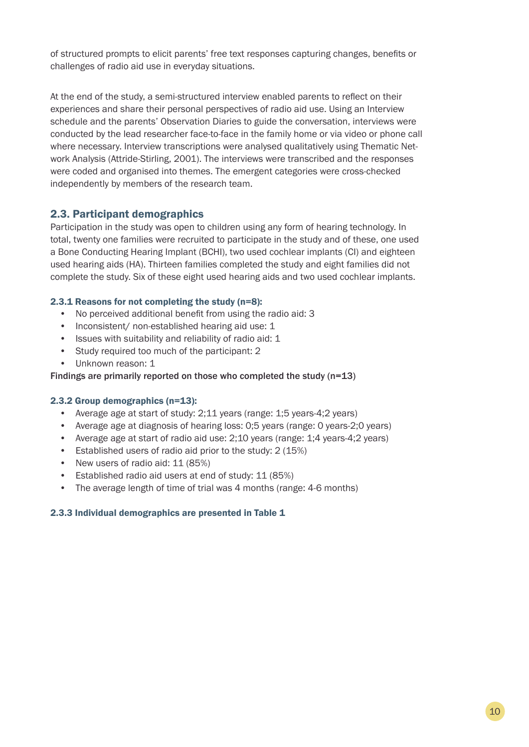of structured prompts to elicit parents' free text responses capturing changes, benefits or challenges of radio aid use in everyday situations.

At the end of the study, a semi-structured interview enabled parents to reflect on their experiences and share their personal perspectives of radio aid use. Using an Interview schedule and the parents' Observation Diaries to guide the conversation, interviews were conducted by the lead researcher face-to-face in the family home or via video or phone call where necessary. Interview transcriptions were analysed qualitatively using Thematic Network Analysis (Attride-Stirling, 2001). The interviews were transcribed and the responses were coded and organised into themes. The emergent categories were cross-checked independently by members of the research team.

## 2.3. Participant demographics

Participation in the study was open to children using any form of hearing technology. In total, twenty one families were recruited to participate in the study and of these, one used a Bone Conducting Hearing Implant (BCHI), two used cochlear implants (CI) and eighteen used hearing aids (HA). Thirteen families completed the study and eight families did not complete the study. Six of these eight used hearing aids and two used cochlear implants.

## 2.3.1 Reasons for not completing the study (n=8):

- No perceived additional benefit from using the radio aid: 3
- Inconsistent/ non-established hearing aid use: 1
- Issues with suitability and reliability of radio aid: 1
- Study required too much of the participant: 2
- Unknown reason: 1

### Findings are primarily reported on those who completed the study (n=13)

### 2.3.2 Group demographics (n=13):

- Average age at start of study: 2;11 years (range: 1;5 years-4;2 years)
- Average age at diagnosis of hearing loss: 0;5 years (range: 0 years-2;0 years)
- Average age at start of radio aid use: 2;10 years (range: 1;4 years-4;2 years)
- Established users of radio aid prior to the study: 2 (15%)
- New users of radio aid: 11 (85%)
- Established radio aid users at end of study: 11 (85%)
- The average length of time of trial was 4 months (range: 4-6 months)

### 2.3.3 Individual demographics are presented in Table 1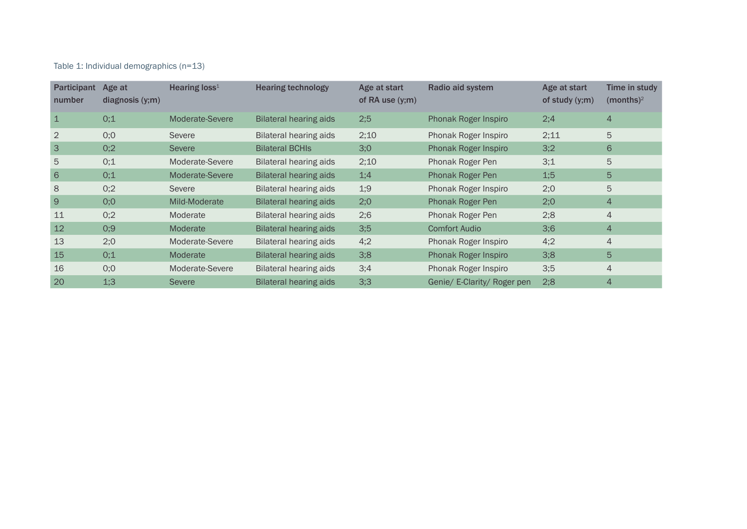## Table 1: Individual demographics (n=13)

| <b>Participant</b><br>number | Age at<br>diagnosis (y;m) | Hearing loss <sup>1</sup> | <b>Hearing technology</b>     | Age at start<br>of RA use $(y;m)$ | Radio aid system            | Age at start<br>of study $(y;m)$ | Time in study<br>(months) <sup>2</sup> |
|------------------------------|---------------------------|---------------------------|-------------------------------|-----------------------------------|-----------------------------|----------------------------------|----------------------------------------|
| $\mathbf 1$                  | 0;1                       | Moderate-Severe           | Bilateral hearing aids        | 2;5                               | Phonak Roger Inspiro        | 2;4                              | $\overline{4}$                         |
| 2                            | O;O                       | Severe                    | Bilateral hearing aids        | 2;10                              | Phonak Roger Inspiro        | 2;11                             | 5                                      |
| 3                            | 0;2                       | <b>Severe</b>             | <b>Bilateral BCHIS</b>        | 3;0                               | <b>Phonak Roger Inspiro</b> | 3;2                              | 6                                      |
| 5                            | 0;1                       | Moderate-Severe           | Bilateral hearing aids        | 2;10                              | Phonak Roger Pen            | 3;1                              | 5                                      |
| 6                            | 0;1                       | Moderate-Severe           | Bilateral hearing aids        | 1;4                               | Phonak Roger Pen            | 1:5                              | 5                                      |
| 8                            | 0;2                       | Severe                    | <b>Bilateral hearing aids</b> | 1:9                               | Phonak Roger Inspiro        | 2:0                              | 5                                      |
| 9                            | 0;0                       | Mild-Moderate             | <b>Bilateral hearing aids</b> | 2;0                               | Phonak Roger Pen            | 2;0                              | $\overline{4}$                         |
| 11                           | 0;2                       | Moderate                  | <b>Bilateral hearing aids</b> | 2;6                               | Phonak Roger Pen            | 2;8                              | $\overline{4}$                         |
| 12                           | 0;9                       | Moderate                  | <b>Bilateral hearing aids</b> | 3;5                               | <b>Comfort Audio</b>        | 3;6                              | $\overline{4}$                         |
| 13                           | 2;0                       | Moderate-Severe           | Bilateral hearing aids        | 4;2                               | Phonak Roger Inspiro        | 4;2                              | $\overline{4}$                         |
| 15                           | 0;1                       | Moderate                  | Bilateral hearing aids        | 3;8                               | <b>Phonak Roger Inspiro</b> | 3;8                              | 5                                      |
| 16                           | 0;0                       | Moderate-Severe           | <b>Bilateral hearing aids</b> | 3;4                               | Phonak Roger Inspiro        | 3:5                              | $\overline{4}$                         |
| 20                           | 1:3                       | <b>Severe</b>             | <b>Bilateral hearing aids</b> | 3;3                               | Genie/ E-Clarity/ Roger pen | 2;8                              | $\overline{4}$                         |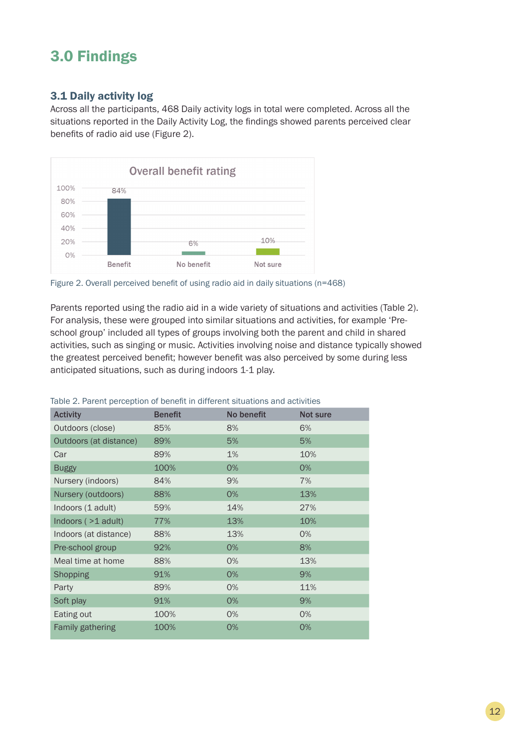## 3.0 Findings

## 3.1 Daily activity log

Across all the participants, 468 Daily activity logs in total were completed. Across all the situations reported in the Daily Activity Log, the findings showed parents perceived clear benefits of radio aid use (Figure 2).



Figure 2. Overall perceived benefit of using radio aid in daily situations (n=468)

Parents reported using the radio aid in a wide variety of situations and activities (Table 2). For analysis, these were grouped into similar situations and activities, for example 'Preschool group' included all types of groups involving both the parent and child in shared activities, such as singing or music. Activities involving noise and distance typically showed the greatest perceived benefit; however benefit was also perceived by some during less anticipated situations, such as during indoors 1-1 play.

| <b>Activity</b>         | <b>Benefit</b> | No benefit | Not sure |
|-------------------------|----------------|------------|----------|
| Outdoors (close)        | 85%            | 8%         | 6%       |
| Outdoors (at distance)  | 89%            | 5%         | 5%       |
| Car                     | 89%            | 1%         | 10%      |
| <b>Buggy</b>            | 100%           | 0%         | 0%       |
| Nursery (indoors)       | 84%            | 9%         | 7%       |
| Nursery (outdoors)      | 88%            | 0%         | 13%      |
| Indoors (1 adult)       | 59%            | 14%        | 27%      |
| Indoors $($ >1 adult)   | 77%            | 13%        | 10%      |
| Indoors (at distance)   | 88%            | 13%        | $0\%$    |
| Pre-school group        | 92%            | 0%         | 8%       |
| Meal time at home       | 88%            | 0%         | 13%      |
| Shopping                | 91%            | 0%         | 9%       |
| Party                   | 89%            | 0%         | 11%      |
| Soft play               | 91%            | 0%         | 9%       |
| Eating out              | 100%           | 0%         | 0%       |
| <b>Family gathering</b> | 100%           | 0%         | 0%       |

Table 2. Parent perception of benefit in different situations and activities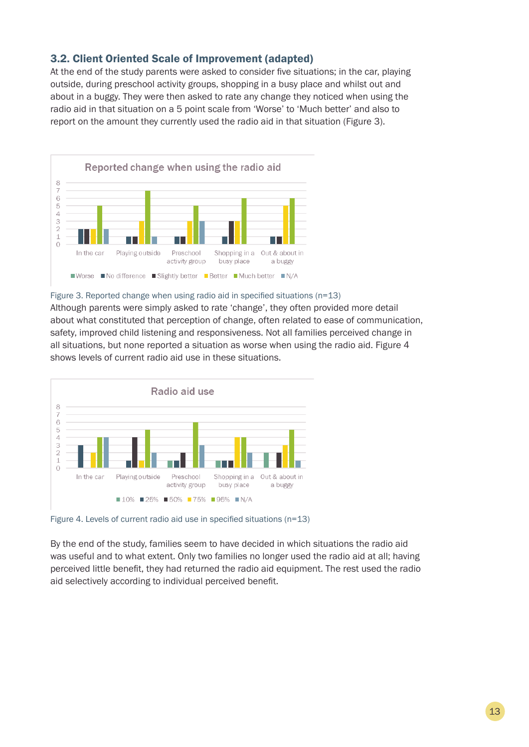## 3.2. Client Oriented Scale of Improvement (adapted)

At the end of the study parents were asked to consider five situations; in the car, playing outside, during preschool activity groups, shopping in a busy place and whilst out and about in a buggy. They were then asked to rate any change they noticed when using the radio aid in that situation on a 5 point scale from 'Worse' to 'Much better' and also to report on the amount they currently used the radio aid in that situation (Figure 3).



Figure 3. Reported change when using radio aid in specified situations (n=13)

Although parents were simply asked to rate 'change', they often provided more detail about what constituted that perception of change, often related to ease of communication, safety, improved child listening and responsiveness. Not all families perceived change in all situations, but none reported a situation as worse when using the radio aid. Figure 4 shows levels of current radio aid use in these situations.



Figure 4. Levels of current radio aid use in specified situations (n=13)

By the end of the study, families seem to have decided in which situations the radio aid was useful and to what extent. Only two families no longer used the radio aid at all; having perceived little benefit, they had returned the radio aid equipment. The rest used the radio aid selectively according to individual perceived benefit.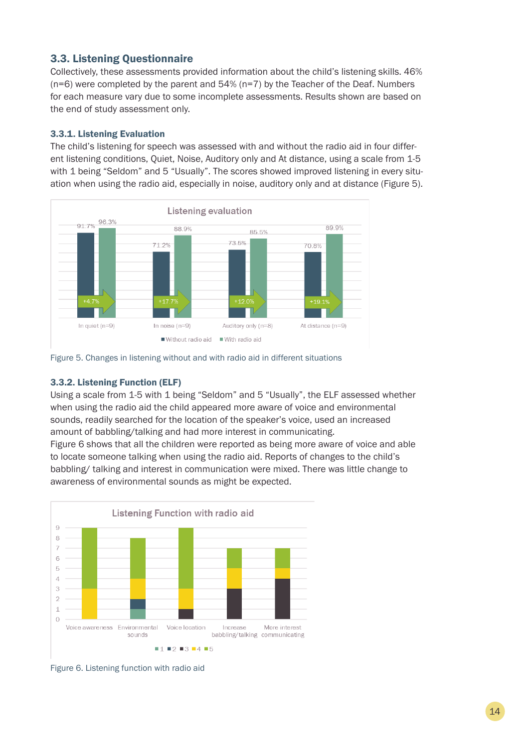## 3.3. Listening Questionnaire

Collectively, these assessments provided information about the child's listening skills. 46% (n=6) were completed by the parent and 54% (n=7) by the Teacher of the Deaf. Numbers for each measure vary due to some incomplete assessments. Results shown are based on the end of study assessment only.

## 3.3.1. Listening Evaluation

The child's listening for speech was assessed with and without the radio aid in four different listening conditions, Quiet, Noise, Auditory only and At distance, using a scale from 1-5 with 1 being "Seldom" and 5 "Usually". The scores showed improved listening in every situation when using the radio aid, especially in noise, auditory only and at distance (Figure 5).





### 3.3.2. Listening Function (ELF)

Using a scale from 1-5 with 1 being "Seldom" and 5 "Usually", the ELF assessed whether when using the radio aid the child appeared more aware of voice and environmental sounds, readily searched for the location of the speaker's voice, used an increased amount of babbling/talking and had more interest in communicating.

Figure 6 shows that all the children were reported as being more aware of voice and able to locate someone talking when using the radio aid. Reports of changes to the child's babbling/ talking and interest in communication were mixed. There was little change to awareness of environmental sounds as might be expected.



Figure 6. Listening function with radio aid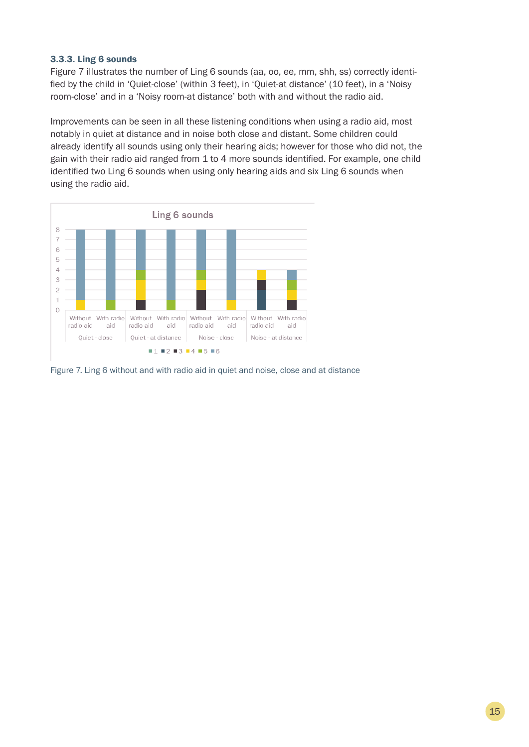## 3.3.3. Ling 6 sounds

Figure 7 illustrates the number of Ling 6 sounds (aa, oo, ee, mm, shh, ss) correctly identified by the child in 'Quiet-close' (within 3 feet), in 'Quiet-at distance' (10 feet), in a 'Noisy room-close' and in a 'Noisy room-at distance' both with and without the radio aid.

Improvements can be seen in all these listening conditions when using a radio aid, most notably in quiet at distance and in noise both close and distant. Some children could already identify all sounds using only their hearing aids; however for those who did not, the gain with their radio aid ranged from 1 to 4 more sounds identified. For example, one child identified two Ling 6 sounds when using only hearing aids and six Ling 6 sounds when using the radio aid.



Figure 7. Ling 6 without and with radio aid in quiet and noise, close and at distance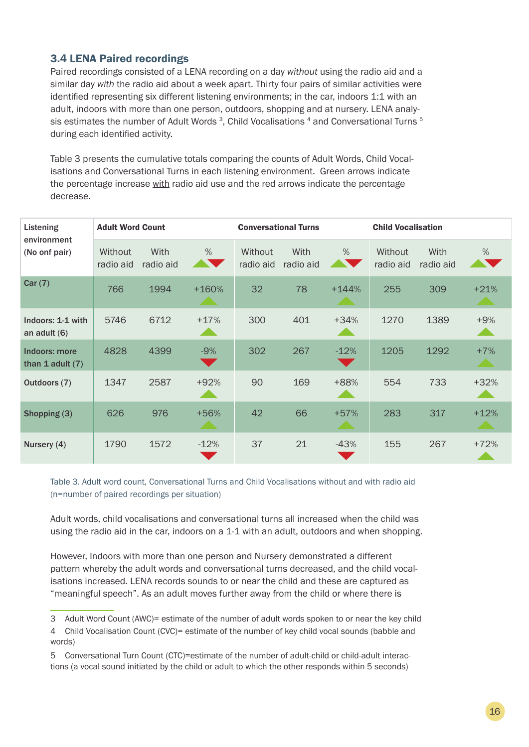## 3.4 LENA Paired recordings

Paired recordings consisted of a LENA recording on a day *without* using the radio aid and a similar day *with* the radio aid about a week apart. Thirty four pairs of similar activities were identified representing six different listening environments; in the car, indoors 1:1 with an adult, indoors with more than one person, outdoors, shopping and at nursery. LENA analysis estimates the number of Adult Words<sup>3</sup>, Child Vocalisations<sup>4</sup> and Conversational Turns<sup>5</sup> during each identified activity.

Table 3 presents the cumulative totals comparing the counts of Adult Words, Child Vocalisations and Conversational Turns in each listening environment. Green arrows indicate the percentage increase with radio aid use and the red arrows indicate the percentage decrease.

| Listening<br>environment<br>(No onf pair) | <b>Adult Word Count</b> |                   |                                | <b>Conversational Turns</b> |                   |                                    | <b>Child Vocalisation</b> |                   |                         |
|-------------------------------------------|-------------------------|-------------------|--------------------------------|-----------------------------|-------------------|------------------------------------|---------------------------|-------------------|-------------------------|
|                                           | Without<br>radio aid    | With<br>radio aid | $\%$<br><b>ANTISERED STATE</b> | Without<br>radio aid        | With<br>radio aid | %<br><b>The Contract of Street</b> | Without<br>radio aid      | With<br>radio aid | $\%$                    |
| Car(7)                                    | 766                     | 1994              | $+160%$                        | 32                          | 78                | $+144%$                            | 255                       | 309               | $+21%$                  |
| Indoors: 1-1 with<br>an adult $(6)$       | 5746                    | 6712              | $+17%$                         | 300                         | 401               | $+34%$                             | 1270                      | 1389              | $+9%$                   |
| Indoors: more<br>than 1 adult $(7)$       | 4828                    | 4399              | $-9%$                          | 302                         | 267               | $-12%$<br>$\blacktriangledown$     | 1205                      | 1292              | $+7%$                   |
| Outdoors (7)                              | 1347                    | 2587              | $+92%$                         | 90                          | 169               | +88%                               | 554                       | 733               | $+32%$                  |
| Shopping (3)                              | 626                     | 976               | +56%<br><b>All De</b>          | 42                          | 66                | $+57%$<br><b>Service</b>           | 283                       | 317               | $+12%$<br><b>All De</b> |
| Nursery (4)                               | 1790                    | 1572              | $-12%$                         | 37                          | 21                | $-43%$                             | 155                       | 267               | $+72%$                  |

Table 3. Adult word count, Conversational Turns and Child Vocalisations without and with radio aid (n=number of paired recordings per situation)

Adult words, child vocalisations and conversational turns all increased when the child was using the radio aid in the car, indoors on a 1-1 with an adult, outdoors and when shopping.

However, Indoors with more than one person and Nursery demonstrated a different pattern whereby the adult words and conversational turns decreased, and the child vocalisations increased. LENA records sounds to or near the child and these are captured as "meaningful speech". As an adult moves further away from the child or where there is

<sup>3</sup> Adult Word Count (AWC)= estimate of the number of adult words spoken to or near the key child

<sup>4</sup> Child Vocalisation Count (CVC)= estimate of the number of key child vocal sounds (babble and words)

<sup>5</sup> Conversational Turn Count (CTC)=estimate of the number of adult-child or child-adult interactions (a vocal sound initiated by the child or adult to which the other responds within 5 seconds)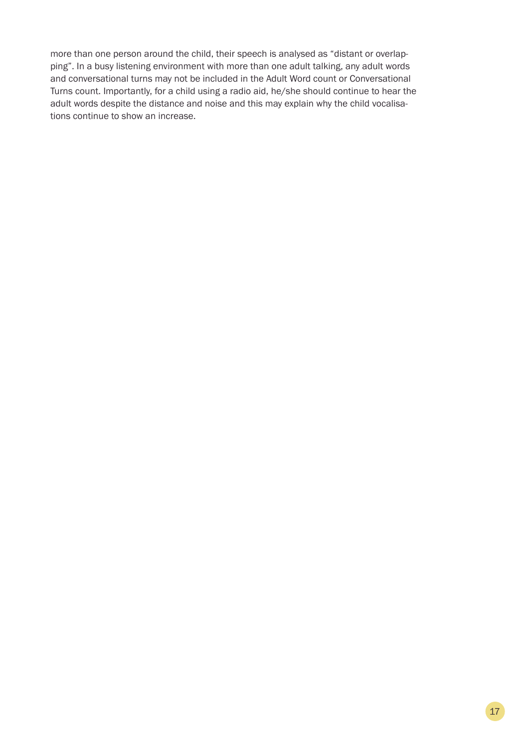more than one person around the child, their speech is analysed as "distant or overlapping". In a busy listening environment with more than one adult talking, any adult words and conversational turns may not be included in the Adult Word count or Conversational Turns count. Importantly, for a child using a radio aid, he/she should continue to hear the adult words despite the distance and noise and this may explain why the child vocalisations continue to show an increase.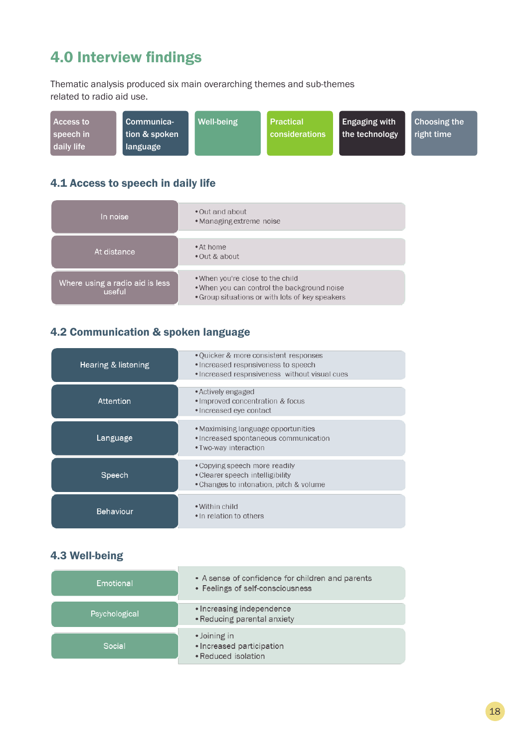## 4.0 Interview findings

Thematic analysis produced six main overarching themes and sub-themes related to radio aid use.

| <b>Access to</b> | Communica-    | Well-being | <b>Practical</b> | <b>Engaging with</b> | <b>Choosing the</b> |
|------------------|---------------|------------|------------------|----------------------|---------------------|
| speech in        | tion & spoken |            | considerations   | the technology       | right time          |
| daily life       | language      |            |                  |                      |                     |

## 4.1 Access to speech in daily life

| In noise                                  | • Out and about<br>• Managing extreme noise                                                                                        |
|-------------------------------------------|------------------------------------------------------------------------------------------------------------------------------------|
|                                           |                                                                                                                                    |
| At distance                               | • At home<br>• Out & about                                                                                                         |
| Where using a radio aid is less<br>useful | . When you're close to the child<br>. When you can control the background noise<br>• Group situations or with lots of key speakers |

## 4.2 Communication & spoken language

| Hearing & listening | • Quicker & more consistent responses<br>• Increased respnsiveness to speech<br>• Increased respnsiveness without visual cues |
|---------------------|-------------------------------------------------------------------------------------------------------------------------------|
| Attention           | • Actively engaged<br>. Improved concentration & focus<br>• Increased eye contact                                             |
| Language            | • Maximising language opportunities<br>• Increased spontaneous communication<br>• Two-way interaction                         |
| Speech              | • Copying speech more readily<br>• Clearer speech intelligibility<br>• Changes to intonation, pitch & volume                  |
| <b>Behaviour</b>    | • Within child<br>• In relation to others                                                                                     |

## 4.3 Well-being

| Emotional     | • A sense of confidence for children and parents<br>• Feelings of self-consciousness |
|---------------|--------------------------------------------------------------------------------------|
| Psychological | • Increasing independence<br>• Reducing parental anxiety                             |
| Social        | • Joining in<br>• Increased participation<br>• Reduced isolation                     |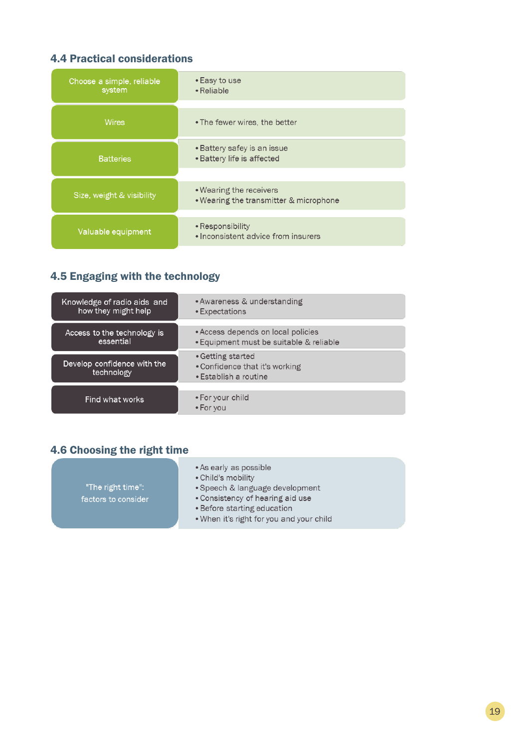## 4.4 Practical considerations

| Choose a simple, reliable<br>system | • Easy to use<br>• Reliable                                       |
|-------------------------------------|-------------------------------------------------------------------|
| <b>Wires</b>                        | • The fewer wires, the better                                     |
| <b>Batteries</b>                    | • Battery safey is an issue<br>• Battery life is affected         |
| Size, weight & visibility           | • Wearing the receivers<br>. Wearing the transmitter & microphone |
| Valuable equipment                  | • Responsibility<br>• Inconsistent advice from insurers           |

## 4.5 Engaging with the technology

| Knowledge of radio aids and               | • Awareness & understanding                                                  |
|-------------------------------------------|------------------------------------------------------------------------------|
| how they might help                       | • Expectations                                                               |
| Access to the technology is               | • Access depends on local policies                                           |
| essential                                 | • Equipment must be suitable & reliable                                      |
| Develop confidence with the<br>technology | • Getting started<br>• Confidence that it's working<br>• Establish a routine |
| Find what works                           | • For your child<br>• For you                                                |

## 4.6 Choosing the right time

| • As early as possible                   |
|------------------------------------------|
| • Child's mobility                       |
| • Speech & language development          |
| • Consistency of hearing aid use         |
| • Before starting education              |
| . When it's right for you and your child |
|                                          |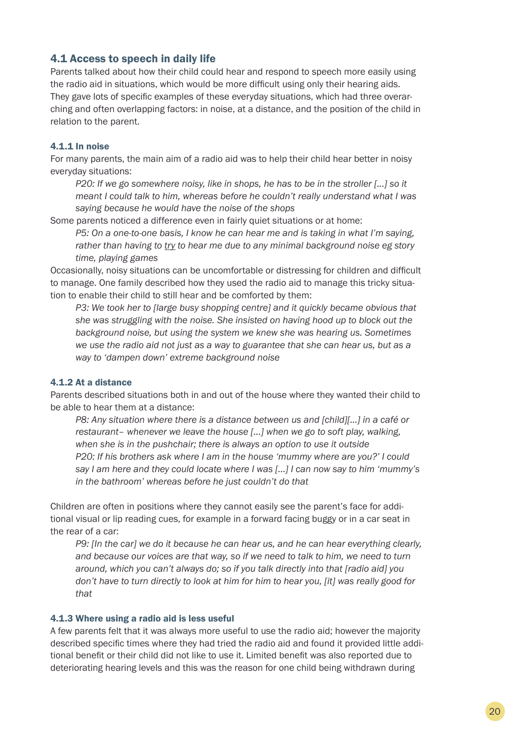## 4.1 Access to speech in daily life

Parents talked about how their child could hear and respond to speech more easily using the radio aid in situations, which would be more difficult using only their hearing aids. They gave lots of specific examples of these everyday situations, which had three overarching and often overlapping factors: in noise, at a distance, and the position of the child in relation to the parent.

## 4.1.1 In noise

For many parents, the main aim of a radio aid was to help their child hear better in noisy everyday situations:

*P20: If we go somewhere noisy, like in shops, he has to be in the stroller [...] so it meant I could talk to him, whereas before he couldn't really understand what I was saying because he would have the noise of the shops* 

Some parents noticed a difference even in fairly quiet situations or at home:

*P5: On a one-to-one basis, I know he can hear me and is taking in what I'm saying, rather than having to try to hear me due to any minimal background noise eg story time, playing games*

Occasionally, noisy situations can be uncomfortable or distressing for children and difficult to manage. One family described how they used the radio aid to manage this tricky situation to enable their child to still hear and be comforted by them:

*P3: We took her to [large busy shopping centre] and it quickly became obvious that she was struggling with the noise. She insisted on having hood up to block out the background noise, but using the system we knew she was hearing us. Sometimes we use the radio aid not just as a way to guarantee that she can hear us, but as a way to 'dampen down' extreme background noise*

### 4.1.2 At a distance

Parents described situations both in and out of the house where they wanted their child to be able to hear them at a distance:

*P8: Any situation where there is a distance between us and [child][...] in a café or restaurant– whenever we leave the house [...] when we go to soft play, walking, when she is in the pushchair; there is always an option to use it outside P20: If his brothers ask where I am in the house 'mummy where are you?' I could say I am here and they could locate where I was [...] I can now say to him 'mummy's in the bathroom' whereas before he just couldn't do that*

Children are often in positions where they cannot easily see the parent's face for additional visual or lip reading cues, for example in a forward facing buggy or in a car seat in the rear of a car:

*P9: [In the car] we do it because he can hear us, and he can hear everything clearly, and because our voices are that way, so if we need to talk to him, we need to turn around, which you can't always do; so if you talk directly into that [radio aid] you don't have to turn directly to look at him for him to hear you, [it] was really good for that* 

### 4.1.3 Where using a radio aid is less useful

A few parents felt that it was always more useful to use the radio aid; however the majority described specific times where they had tried the radio aid and found it provided little additional benefit or their child did not like to use it. Limited benefit was also reported due to deteriorating hearing levels and this was the reason for one child being withdrawn during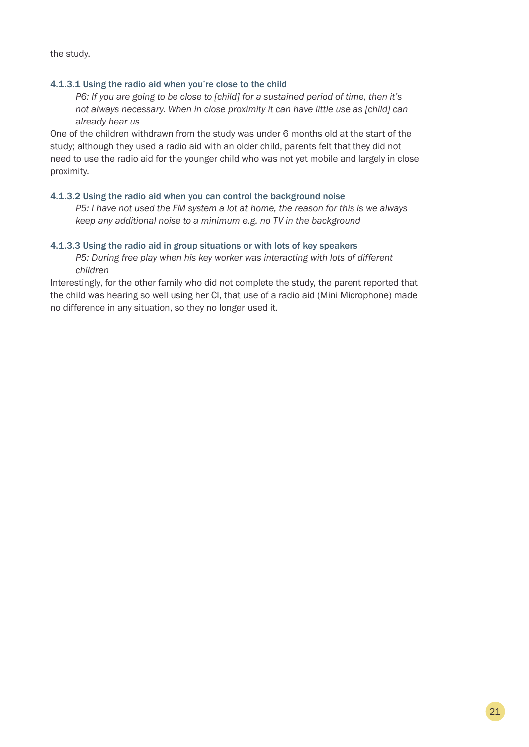the study.

## 4.1.3.1 Using the radio aid when you're close to the child

*P6: If you are going to be close to [child] for a sustained period of time, then it's not always necessary. When in close proximity it can have little use as [child] can already hear us* 

One of the children withdrawn from the study was under 6 months old at the start of the study; although they used a radio aid with an older child, parents felt that they did not need to use the radio aid for the younger child who was not yet mobile and largely in close proximity.

### 4.1.3.2 Using the radio aid when you can control the background noise

*P5: I have not used the FM system a lot at home, the reason for this is we always keep any additional noise to a minimum e.g. no TV in the background*

### 4.1.3.3 Using the radio aid in group situations or with lots of key speakers

*P5: During free play when his key worker was interacting with lots of different children*

Interestingly, for the other family who did not complete the study, the parent reported that the child was hearing so well using her CI, that use of a radio aid (Mini Microphone) made no difference in any situation, so they no longer used it.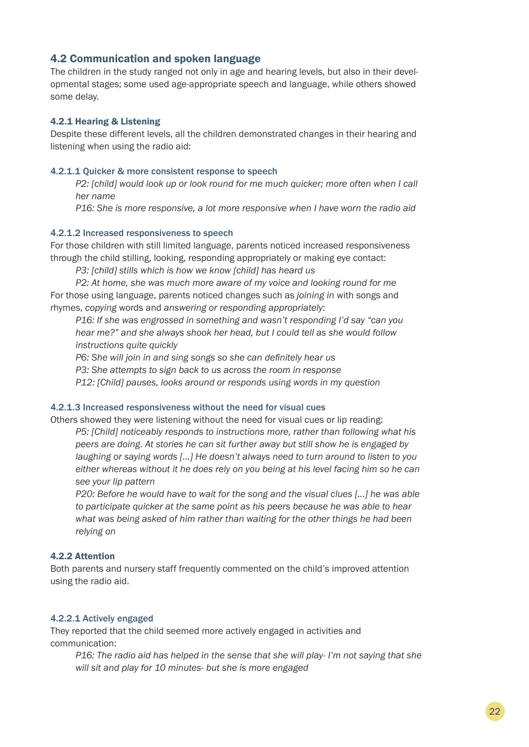## 4.2 Communication and spoken language

The children in the study ranged not only in age and hearing levels, but also in their developmental stages; some used age-appropriate speech and language, while others showed some delay.

### 4.2.1 Hearing & Listening

Despite these different levels, all the children demonstrated changes in their hearing and listening when using the radio aid:

#### 4.2.1.1 Quicker & more consistent response to speech

*P2: [child] would look up or look round for me much quicker; more often when I call her name* 

*P16: She is more responsive, a lot more responsive when I have worn the radio aid*

#### 4.2.1.2 Increased responsiveness to speech

For those children with still limited language, parents noticed increased responsiveness through the child stilling, looking, responding appropriately or making eye contact:

*P3: [child] stills which is how we know [child] has heard us*

*P2: At home, she was much more aware of my voice and looking round for me*  For those using language, parents noticed changes such as *joining in* with songs and rhymes, *copying* words and *answering or responding appropriately*:

*P16: If she was engrossed in something and wasn't responding I'd say "can you hear me?" and she always shook her head, but I could tell as she would follow instructions quite quickly*

*P6: She will join in and sing songs so she can definitely hear us*

*P3: She attempts to sign back to us across the room in response*

*P12: [Child] pauses, looks around or responds using words in my question*

### 4.2.1.3 Increased responsiveness without the need for visual cues

Others showed they were listening without the need for visual cues or lip reading: *P5: [Child] noticeably responds to instructions more, rather than following what his peers are doing. At stories he can sit further away but still show he is engaged by laughing or saying words [...] He doesn't always need to turn around to listen to you either whereas without it he does rely on you being at his level facing him so he can see your lip pattern*

*P20: Before he would have to wait for the song and the visual clues [...] he was able to participate quicker at the same point as his peers because he was able to hear what was being asked of him rather than waiting for the other things he had been relying on*

### 4.2.2 Attention

Both parents and nursery staff frequently commented on the child's improved attention using the radio aid.

## 4.2.2.1 Actively engaged

They reported that the child seemed more actively engaged in activities and communication:

*P16: The radio aid has helped in the sense that she will play- I'm not saying that she will sit and play for 10 minutes- but she is more engaged*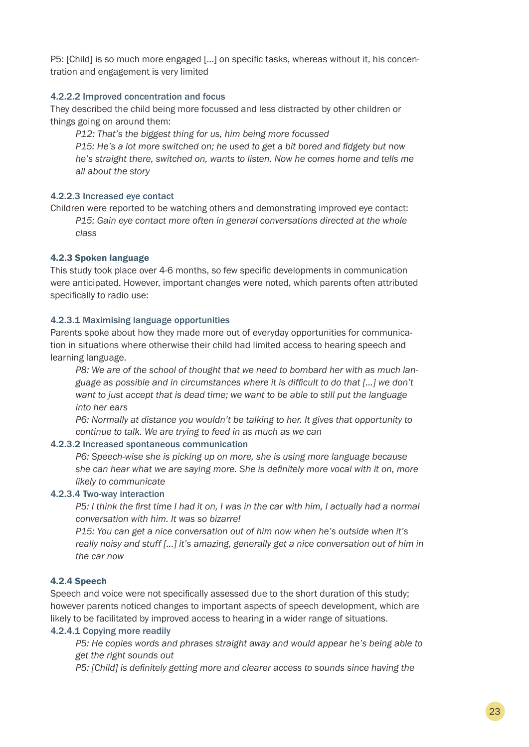P5: [Child] is so much more engaged [...] on specific tasks, whereas without it, his concentration and engagement is very limited

### 4.2.2.2 Improved concentration and focus

They described the child being more focussed and less distracted by other children or things going on around them:

*P12: That's the biggest thing for us, him being more focussed P15: He's a lot more switched on; he used to get a bit bored and fidgety but now he's straight there, switched on, wants to listen. Now he comes home and tells me all about the story* 

## 4.2.2.3 Increased eye contact

Children were reported to be watching others and demonstrating improved eye contact: *P15: Gain eye contact more often in general conversations directed at the whole class*

## 4.2.3 Spoken language

This study took place over 4-6 months, so few specific developments in communication were anticipated. However, important changes were noted, which parents often attributed specifically to radio use:

## 4.2.3.1 Maximising language opportunities

Parents spoke about how they made more out of everyday opportunities for communication in situations where otherwise their child had limited access to hearing speech and learning language.

*P8: We are of the school of thought that we need to bombard her with as much language as possible and in circumstances where it is difficult to do that [...] we don't want to just accept that is dead time; we want to be able to still put the language into her ears*

*P6: Normally at distance you wouldn't be talking to her. It gives that opportunity to continue to talk. We are trying to feed in as much as we can* 

### 4.2.3.2 Increased spontaneous communication

*P6: Speech-wise she is picking up on more, she is using more language because she can hear what we are saying more. She is definitely more vocal with it on, more likely to communicate*

### 4.2.3.4 Two-way interaction

*P5: I think the first time I had it on, I was in the car with him, I actually had a normal conversation with him. It was so bizarre!* 

*P15: You can get a nice conversation out of him now when he's outside when it's really noisy and stuff [...] it's amazing, generally get a nice conversation out of him in the car now* 

## 4.2.4 Speech

Speech and voice were not specifically assessed due to the short duration of this study; however parents noticed changes to important aspects of speech development, which are likely to be facilitated by improved access to hearing in a wider range of situations.

### 4.2.4.1 Copying more readily

*P5: He copies words and phrases straight away and would appear he's being able to get the right sounds out*

*P5: [Child] is definitely getting more and clearer access to sounds since having the*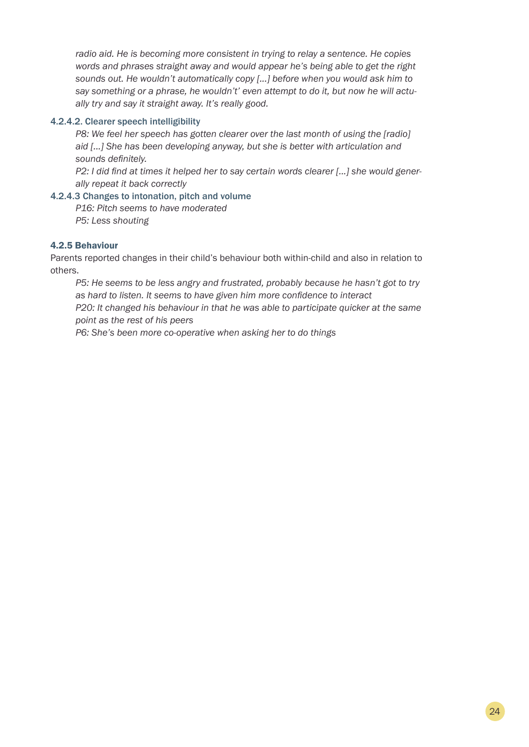*radio aid. He is becoming more consistent in trying to relay a sentence. He copies words and phrases straight away and would appear he's being able to get the right sounds out. He wouldn't automatically copy [...] before when you would ask him to say something or a phrase, he wouldn't' even attempt to do it, but now he will actually try and say it straight away. It's really good.*

## 4.2.4.2. Clearer speech intelligibility

**P8:** We feel her speech has gotten clearer over the last month of using the [radio] *aid [...] She has been developing anyway, but she is better with articulation and sounds definitely.*

*P2: I did find at times it helped her to say certain words clearer [...] she would generally repeat it back correctly* 

## 4.2.4.3 Changes to intonation, pitch and volume

*P16: Pitch seems to have moderated P5: Less shouting*

## 4.2.5 Behaviour

Parents reported changes in their child's behaviour both within-child and also in relation to others.

*P5: He seems to be less angry and frustrated, probably because he hasn't got to try as hard to listen. It seems to have given him more confidence to interact P20: It changed his behaviour in that he was able to participate quicker at the same* 

*point as the rest of his peers*

*P6: She's been more co-operative when asking her to do things*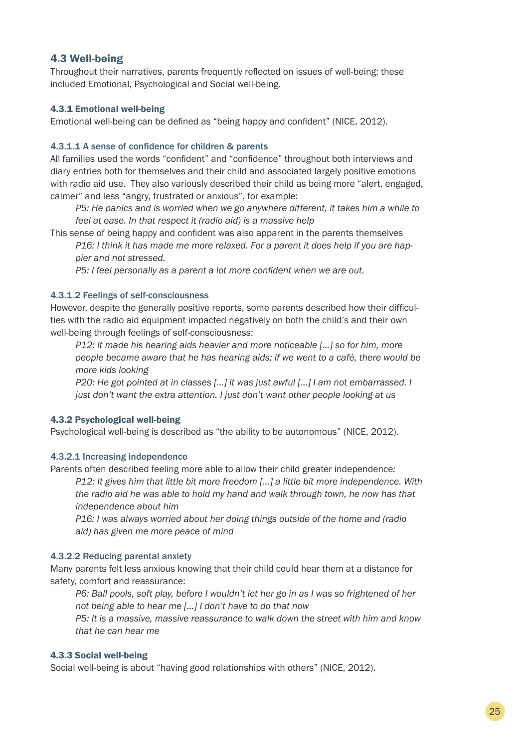## 4.3 Well-being

Throughout their narratives, parents frequently reflected on issues of well-being; these included Emotional, Psychological and Social well-being.

## 4.3.1 Emotional well-being

Emotional well-being can be defined as "being happy and confident" (NICE, 2012).

## 4.3.1.1 A sense of confidence for children & parents

All families used the words "confident" and "confidence" throughout both interviews and diary entries both for themselves and their child and associated largely positive emotions with radio aid use. They also variously described their child as being more "alert, engaged, calmer" and less "angry, frustrated or anxious", for example:

*P5: He panics and is worried when we go anywhere different, it takes him a while to feel at ease. In that respect it (radio aid) is a massive help* 

This sense of being happy and confident was also apparent in the parents themselves

*P16: I think it has made me more relaxed. For a parent it does help if you are happier and not stressed.* 

*P5: I feel personally as a parent a lot more confident when we are out.* 

## 4.3.1.2 Feelings of self-consciousness

However, despite the generally positive reports, some parents described how their difficulties with the radio aid equipment impacted negatively on both the child's and their own well-being through feelings of self-consciousness:

*P12: it made his hearing aids heavier and more noticeable [...] so for him, more people became aware that he has hearing aids; if we went to a café, there would be more kids looking*

*P20: He got pointed at in classes […] it was just awful [...] I am not embarrassed. I just don't want the extra attention. I just don't want other people looking at us*

### 4.3.2 Psychological well-being

Psychological well-being is described as "the ability to be autonomous" (NICE, 2012).

## 4.3.2.1 Increasing independence

Parents often described feeling more able to allow their child greater independence*:*

*P12: It gives him that little bit more freedom […] a little bit more independence. With the radio aid he was able to hold my hand and walk through town, he now has that independence about him*

*P16: I was always worried about her doing things outside of the home and (radio aid) has given me more peace of mind*

## 4.3.2.2 Reducing parental anxiety

Many parents felt less anxious knowing that their child could hear them at a distance for safety, comfort and reassurance:

*P6: Ball pools, soft play, before I wouldn't let her go in as I was so frightened of her not being able to hear me […] I don't have to do that now*

*P5: It is a massive, massive reassurance to walk down the street with him and know that he can hear me*

## 4.3.3 Social well-being

Social well-being is about "having good relationships with others" (NICE, 2012).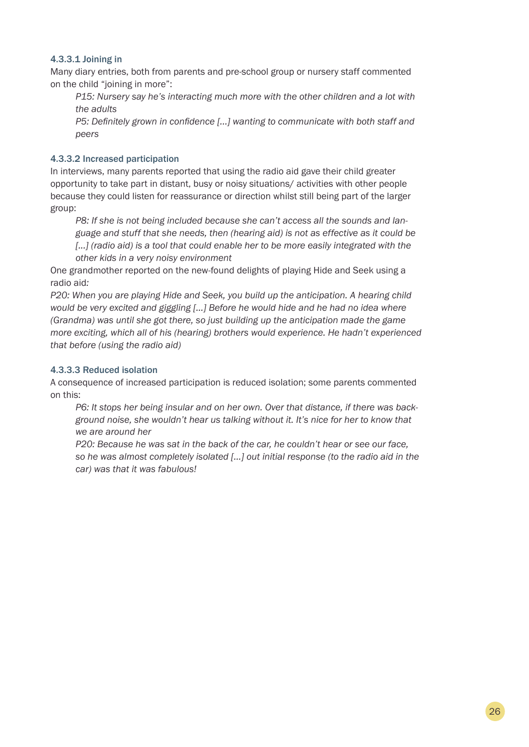## 4.3.3.1 Joining in

Many diary entries, both from parents and pre-school group or nursery staff commented on the child "joining in more":

*P15: Nursery say he's interacting much more with the other children and a lot with the adults*

*P5: Definitely grown in confidence [...] wanting to communicate with both staff and peers* 

## 4.3.3.2 Increased participation

In interviews, many parents reported that using the radio aid gave their child greater opportunity to take part in distant, busy or noisy situations/ activities with other people because they could listen for reassurance or direction whilst still being part of the larger group:

*P8: If she is not being included because she can't access all the sounds and language and stuff that she needs, then (hearing aid) is not as effective as it could be*  [...] (radio aid) is a tool that could enable her to be more easily integrated with the *other kids in a very noisy environment*

One grandmother reported on the new-found delights of playing Hide and Seek using a radio aid*:*

*P20: When you are playing Hide and Seek, you build up the anticipation. A hearing child would be very excited and giggling […] Before he would hide and he had no idea where (Grandma) was until she got there, so just building up the anticipation made the game more exciting, which all of his (hearing) brothers would experience. He hadn't experienced that before (using the radio aid)*

## 4.3.3.3 Reduced isolation

A consequence of increased participation is reduced isolation; some parents commented on this:

*P6: It stops her being insular and on her own. Over that distance, if there was background noise, she wouldn't hear us talking without it. It's nice for her to know that we are around her*

*P20: Because he was sat in the back of the car, he couldn't hear or see our face, so he was almost completely isolated […] out initial response (to the radio aid in the car) was that it was fabulous!*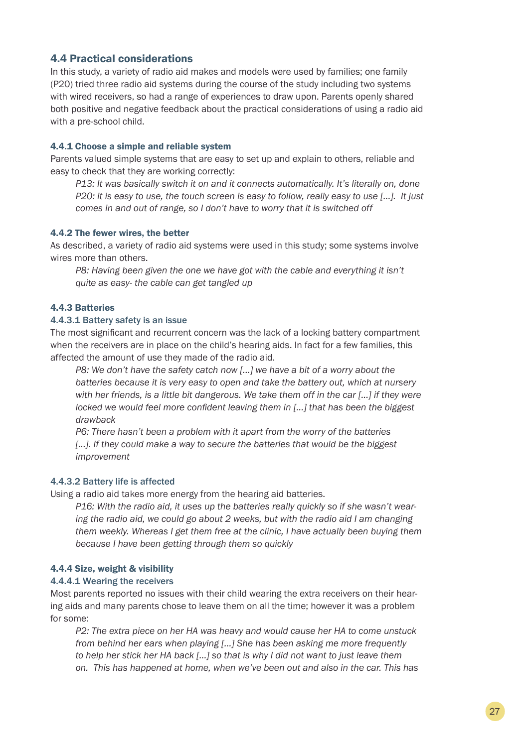## 4.4 Practical considerations

In this study, a variety of radio aid makes and models were used by families; one family (P20) tried three radio aid systems during the course of the study including two systems with wired receivers, so had a range of experiences to draw upon. Parents openly shared both positive and negative feedback about the practical considerations of using a radio aid with a pre-school child.

## 4.4.1 Choose a simple and reliable system

Parents valued simple systems that are easy to set up and explain to others, reliable and easy to check that they are working correctly:

*P13: It was basically switch it on and it connects automatically. It's literally on, done P20: it is easy to use, the touch screen is easy to follow, really easy to use [...]. It just comes in and out of range, so I don't have to worry that it is switched off* 

## 4.4.2 The fewer wires, the better

As described, a variety of radio aid systems were used in this study; some systems involve wires more than others.

*P8: Having been given the one we have got with the cable and everything it isn't quite as easy- the cable can get tangled up*

## 4.4.3 Batteries

## 4.4.3.1 Battery safety is an issue

The most significant and recurrent concern was the lack of a locking battery compartment when the receivers are in place on the child's hearing aids. In fact for a few families, this affected the amount of use they made of the radio aid.

*P8: We don't have the safety catch now [...] we have a bit of a worry about the batteries because it is very easy to open and take the battery out, which at nursery with her friends, is a little bit dangerous. We take them off in the car [...] if they were locked we would feel more confident leaving them in [...] that has been the biggest drawback*

*P6: There hasn't been a problem with it apart from the worry of the batteries*  [...]. If they could make a way to secure the batteries that would be the biggest *improvement*

## 4.4.3.2 Battery life is affected

Using a radio aid takes more energy from the hearing aid batteries.

*P16: With the radio aid, it uses up the batteries really quickly so if she wasn't wearing the radio aid, we could go about 2 weeks, but with the radio aid I am changing them weekly. Whereas I get them free at the clinic, I have actually been buying them because I have been getting through them so quickly*

## 4.4.4 Size, weight & visibility

### 4.4.4.1 Wearing the receivers

Most parents reported no issues with their child wearing the extra receivers on their hearing aids and many parents chose to leave them on all the time; however it was a problem for some:

*P2: The extra piece on her HA was heavy and would cause her HA to come unstuck from behind her ears when playing [...] She has been asking me more frequently to help her stick her HA back [...] so that is why I did not want to just leave them on. This has happened at home, when we've been out and also in the car. This has*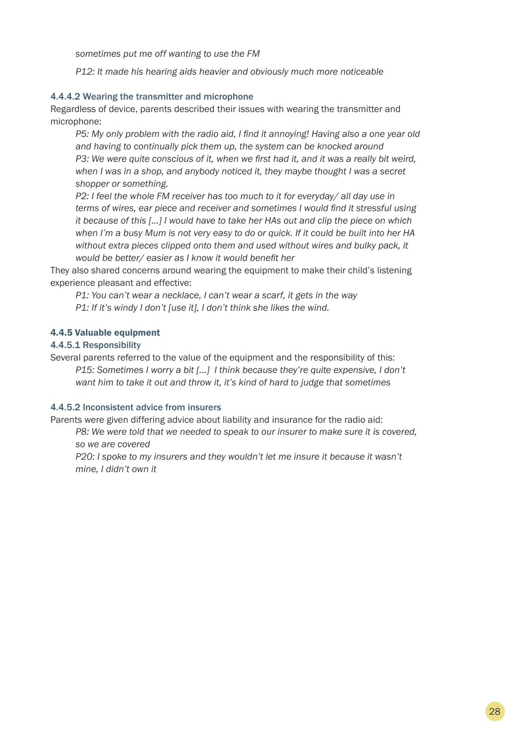*sometimes put me off wanting to use the FM*

*P12: It made his hearing aids heavier and obviously much more noticeable* 

### 4.4.4.2 Wearing the transmitter and microphone

Regardless of device, parents described their issues with wearing the transmitter and microphone:

*P5: My only problem with the radio aid, I find it annoying! Having also a one year old and having to continually pick them up, the system can be knocked around P3: We were quite conscious of it, when we first had it, and it was a really bit weird, when I was in a shop, and anybody noticed it, they maybe thought I was a secret shopper or something.* 

*P2: I feel the whole FM receiver has too much to it for everyday/ all day use in terms of wires, ear piece and receiver and sometimes I would find it stressful using it because of this […] I would have to take her HAs out and clip the piece on which when I'm a busy Mum is not very easy to do or quick. If it could be built into her HA*  without extra pieces clipped onto them and used without wires and bulky pack, it *would be better/ easier as I know it would benefit her*

They also shared concerns around wearing the equipment to make their child's listening experience pleasant and effective:

*P1: You can't wear a necklace, I can't wear a scarf, it gets in the way P1: If it's windy I don't [use it], I don't think she likes the wind.*

#### 4.4.5 Valuable equipment

## 4.4.5.1 Responsibility

Several parents referred to the value of the equipment and the responsibility of this: *P15: Sometimes I worry a bit [...] I think because they're quite expensive, I don't*  want him to take it out and throw it, it's kind of hard to judge that sometimes

### 4.4.5.2 Inconsistent advice from insurers

Parents were given differing advice about liability and insurance for the radio aid:

*P8: We were told that we needed to speak to our insurer to make sure it is covered, so we are covered*

*P20: I spoke to my insurers and they wouldn't let me insure it because it wasn't mine, I didn't own it*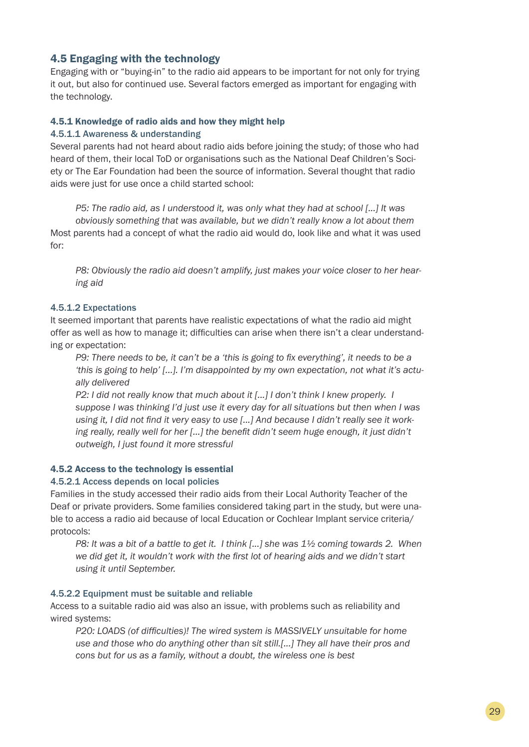## 4.5 Engaging with the technology

Engaging with or "buying-in" to the radio aid appears to be important for not only for trying it out, but also for continued use. Several factors emerged as important for engaging with the technology.

#### 4.5.1 Knowledge of radio aids and how they might help

#### 4.5.1.1 Awareness & understanding

Several parents had not heard about radio aids before joining the study; of those who had heard of them, their local ToD or organisations such as the National Deaf Children's Society or The Ear Foundation had been the source of information. Several thought that radio aids were just for use once a child started school:

*P5: The radio aid, as I understood it, was only what they had at school [...] It was obviously something that was available, but we didn't really know a lot about them* Most parents had a concept of what the radio aid would do, look like and what it was used for:

*P8: Obviously the radio aid doesn't amplify, just makes your voice closer to her hearing aid*

### 4.5.1.2 Expectations

It seemed important that parents have realistic expectations of what the radio aid might offer as well as how to manage it; difficulties can arise when there isn't a clear understanding or expectation:

*P9: There needs to be, it can't be a 'this is going to fix everything', it needs to be a 'this is going to help' [...]. I'm disappointed by my own expectation, not what it's actually delivered*

*P2: I did not really know that much about it [...] I don't think I knew properly. I suppose I was thinking I'd just use it every day for all situations but then when I was using it, I did not find it very easy to use [...] And because I didn't really see it working really, really well for her […] the benefit didn't seem huge enough, it just didn't outweigh, I just found it more stressful*

## 4.5.2 Access to the technology is essential

### 4.5.2.1 Access depends on local policies

Families in the study accessed their radio aids from their Local Authority Teacher of the Deaf or private providers. Some families considered taking part in the study, but were unable to access a radio aid because of local Education or Cochlear Implant service criteria/ protocols:

*P8: It was a bit of a battle to get it. I think [...] she was 1½ coming towards 2. When we did get it, it wouldn't work with the first lot of hearing aids and we didn't start using it until September.*

#### 4.5.2.2 Equipment must be suitable and reliable

Access to a suitable radio aid was also an issue, with problems such as reliability and wired systems:

*P20: LOADS (of difficulties)! The wired system is MASSIVELY unsuitable for home use and those who do anything other than sit still.[...] They all have their pros and cons but for us as a family, without a doubt, the wireless one is best*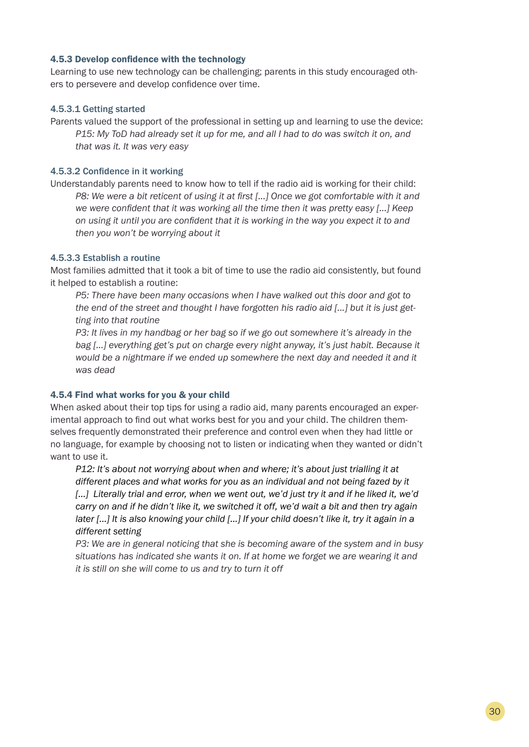#### 4.5.3 Develop confidence with the technology

Learning to use new technology can be challenging; parents in this study encouraged others to persevere and develop confidence over time.

#### 4.5.3.1 Getting started

Parents valued the support of the professional in setting up and learning to use the device: *P15: My ToD had already set it up for me, and all I had to do was switch it on, and that was it. It was very easy*

## 4.5.3.2 Confidence in it working

Understandably parents need to know how to tell if the radio aid is working for their child: *P8: We were a bit reticent of using it at first [...] Once we got comfortable with it and we were confident that it was working all the time then it was pretty easy [...] Keep on using it until you are confident that it is working in the way you expect it to and then you won't be worrying about it* 

## 4.5.3.3 Establish a routine

Most families admitted that it took a bit of time to use the radio aid consistently, but found it helped to establish a routine:

*P5: There have been many occasions when I have walked out this door and got to the end of the street and thought I have forgotten his radio aid [...] but it is just getting into that routine*

*P3: It lives in my handbag or her bag so if we go out somewhere it's already in the bag [...] everything get's put on charge every night anyway, it's just habit. Because it*  would be a nightmare if we ended up somewhere the next day and needed it and it *was dead*

### 4.5.4 Find what works for you & your child

When asked about their top tips for using a radio aid, many parents encouraged an experimental approach to find out what works best for you and your child. The children themselves frequently demonstrated their preference and control even when they had little or no language, for example by choosing not to listen or indicating when they wanted or didn't want to use it.

*P12: It's about not worrying about when and where; it's about just trialling it at different places and what works for you as an individual and not being fazed by it*  [...] Literally trial and error, when we went out, we'd just try it and if he liked it, we'd *carry on and if he didn't like it, we switched it off, we'd wait a bit and then try again later […] It is also knowing your child [...] If your child doesn't like it, try it again in a different setting*

*P3: We are in general noticing that she is becoming aware of the system and in busy situations has indicated she wants it on. If at home we forget we are wearing it and it is still on she will come to us and try to turn it off*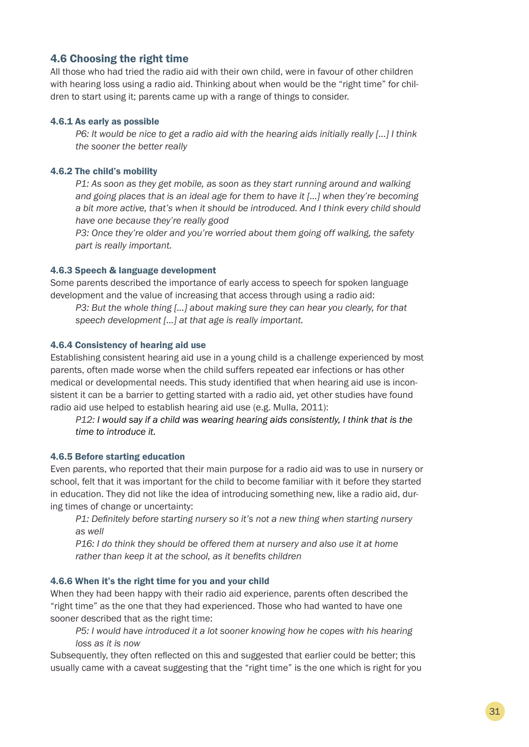## 4.6 Choosing the right time

All those who had tried the radio aid with their own child, were in favour of other children with hearing loss using a radio aid. Thinking about when would be the "right time" for children to start using it; parents came up with a range of things to consider.

#### 4.6.1 As early as possible

*P6: It would be nice to get a radio aid with the hearing aids initially really […] I think the sooner the better really*

#### 4.6.2 The child's mobility

*P1: As soon as they get mobile, as soon as they start running around and walking and going places that is an ideal age for them to have it […] when they're becoming a bit more active, that's when it should be introduced. And I think every child should have one because they're really good*

*P3: Once they're older and you're worried about them going off walking, the safety part is really important.* 

#### 4.6.3 Speech & language development

Some parents described the importance of early access to speech for spoken language development and the value of increasing that access through using a radio aid:

*P3: But the whole thing [...] about making sure they can hear you clearly, for that speech development [...] at that age is really important.* 

#### 4.6.4 Consistency of hearing aid use

Establishing consistent hearing aid use in a young child is a challenge experienced by most parents, often made worse when the child suffers repeated ear infections or has other medical or developmental needs. This study identified that when hearing aid use is inconsistent it can be a barrier to getting started with a radio aid, yet other studies have found radio aid use helped to establish hearing aid use (e.g. Mulla, 2011):

*P12: I would say if a child was wearing hearing aids consistently, I think that is the time to introduce it.*

### 4.6.5 Before starting education

Even parents, who reported that their main purpose for a radio aid was to use in nursery or school, felt that it was important for the child to become familiar with it before they started in education. They did not like the idea of introducing something new, like a radio aid, during times of change or uncertainty:

*P1: Definitely before starting nursery so it's not a new thing when starting nursery as well*

*P16: I do think they should be offered them at nursery and also use it at home rather than keep it at the school, as it benefits children*

#### 4.6.6 When it's the right time for you and your child

When they had been happy with their radio aid experience, parents often described the "right time" as the one that they had experienced. Those who had wanted to have one sooner described that as the right time:

*P5: I would have introduced it a lot sooner knowing how he copes with his hearing loss as it is now* 

Subsequently, they often reflected on this and suggested that earlier could be better; this usually came with a caveat suggesting that the "right time" is the one which is right for you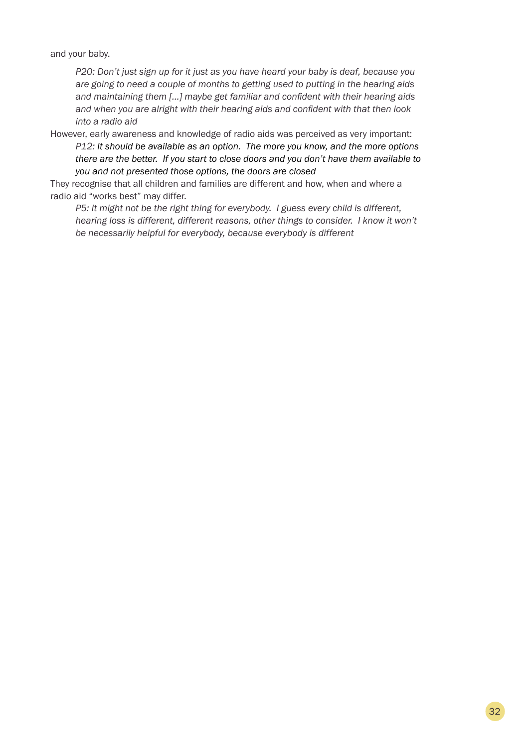and your baby.

*P20: Don't just sign up for it just as you have heard your baby is deaf, because you are going to need a couple of months to getting used to putting in the hearing aids and maintaining them [...] maybe get familiar and confident with their hearing aids and when you are alright with their hearing aids and confident with that then look into a radio aid*

However, early awareness and knowledge of radio aids was perceived as very important:

*P12: It should be available as an option. The more you know, and the more options there are the better. If you start to close doors and you don't have them available to you and not presented those options, the doors are closed*

They recognise that all children and families are different and how, when and where a radio aid "works best" may differ.

*P5: It might not be the right thing for everybody. I guess every child is different, hearing loss is different, different reasons, other things to consider. I know it won't be necessarily helpful for everybody, because everybody is different*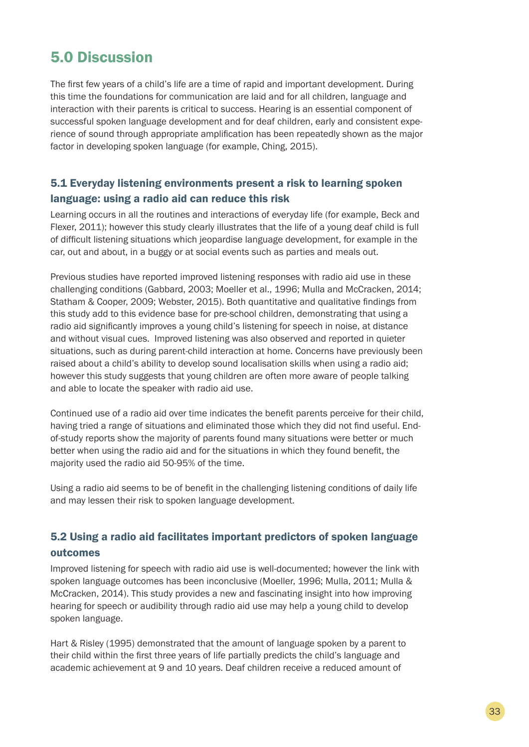## 5.0 Discussion

The first few years of a child's life are a time of rapid and important development. During this time the foundations for communication are laid and for all children, language and interaction with their parents is critical to success. Hearing is an essential component of successful spoken language development and for deaf children, early and consistent experience of sound through appropriate amplification has been repeatedly shown as the major factor in developing spoken language (for example, Ching, 2015).

## 5.1 Everyday listening environments present a risk to learning spoken language: using a radio aid can reduce this risk

Learning occurs in all the routines and interactions of everyday life (for example, Beck and Flexer, 2011); however this study clearly illustrates that the life of a young deaf child is full of difficult listening situations which jeopardise language development, for example in the car, out and about, in a buggy or at social events such as parties and meals out.

Previous studies have reported improved listening responses with radio aid use in these challenging conditions (Gabbard, 2003; Moeller et al., 1996; Mulla and McCracken, 2014; Statham & Cooper, 2009; Webster, 2015). Both quantitative and qualitative findings from this study add to this evidence base for pre-school children, demonstrating that using a radio aid significantly improves a young child's listening for speech in noise, at distance and without visual cues. Improved listening was also observed and reported in quieter situations, such as during parent-child interaction at home. Concerns have previously been raised about a child's ability to develop sound localisation skills when using a radio aid; however this study suggests that young children are often more aware of people talking and able to locate the speaker with radio aid use.

Continued use of a radio aid over time indicates the benefit parents perceive for their child, having tried a range of situations and eliminated those which they did not find useful. Endof-study reports show the majority of parents found many situations were better or much better when using the radio aid and for the situations in which they found benefit, the majority used the radio aid 50-95% of the time.

Using a radio aid seems to be of benefit in the challenging listening conditions of daily life and may lessen their risk to spoken language development.

## 5.2 Using a radio aid facilitates important predictors of spoken language outcomes

Improved listening for speech with radio aid use is well-documented; however the link with spoken language outcomes has been inconclusive (Moeller, 1996; Mulla, 2011; Mulla & McCracken, 2014). This study provides a new and fascinating insight into how improving hearing for speech or audibility through radio aid use may help a young child to develop spoken language.

Hart & Risley (1995) demonstrated that the amount of language spoken by a parent to their child within the first three years of life partially predicts the child's language and academic achievement at 9 and 10 years. Deaf children receive a reduced amount of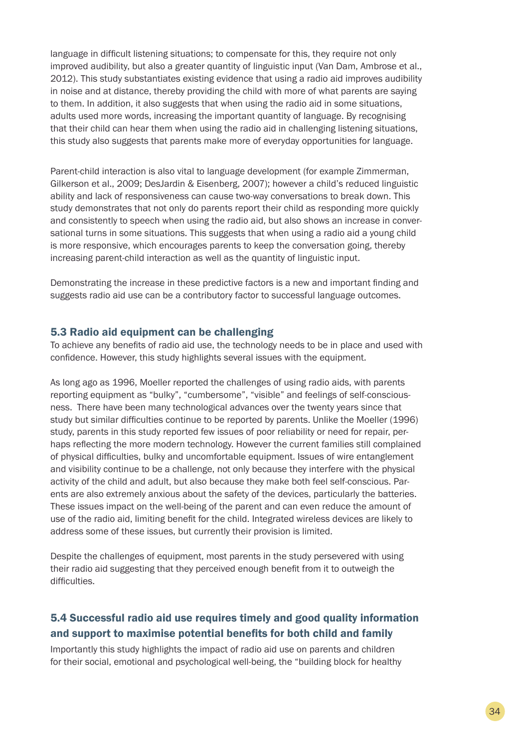language in difficult listening situations; to compensate for this, they require not only improved audibility, but also a greater quantity of linguistic input (Van Dam, Ambrose et al., 2012). This study substantiates existing evidence that using a radio aid improves audibility in noise and at distance, thereby providing the child with more of what parents are saying to them. In addition, it also suggests that when using the radio aid in some situations, adults used more words, increasing the important quantity of language. By recognising that their child can hear them when using the radio aid in challenging listening situations, this study also suggests that parents make more of everyday opportunities for language.

Parent-child interaction is also vital to language development (for example Zimmerman, Gilkerson et al., 2009; DesJardin & Eisenberg, 2007); however a child's reduced linguistic ability and lack of responsiveness can cause two-way conversations to break down. This study demonstrates that not only do parents report their child as responding more quickly and consistently to speech when using the radio aid, but also shows an increase in conversational turns in some situations. This suggests that when using a radio aid a young child is more responsive, which encourages parents to keep the conversation going, thereby increasing parent-child interaction as well as the quantity of linguistic input.

Demonstrating the increase in these predictive factors is a new and important finding and suggests radio aid use can be a contributory factor to successful language outcomes.

## 5.3 Radio aid equipment can be challenging

To achieve any benefits of radio aid use, the technology needs to be in place and used with confidence. However, this study highlights several issues with the equipment.

As long ago as 1996, Moeller reported the challenges of using radio aids, with parents reporting equipment as "bulky", "cumbersome", "visible" and feelings of self-consciousness. There have been many technological advances over the twenty years since that study but similar difficulties continue to be reported by parents. Unlike the Moeller (1996) study, parents in this study reported few issues of poor reliability or need for repair, perhaps reflecting the more modern technology. However the current families still complained of physical difficulties, bulky and uncomfortable equipment. Issues of wire entanglement and visibility continue to be a challenge, not only because they interfere with the physical activity of the child and adult, but also because they make both feel self-conscious. Parents are also extremely anxious about the safety of the devices, particularly the batteries. These issues impact on the well-being of the parent and can even reduce the amount of use of the radio aid, limiting benefit for the child. Integrated wireless devices are likely to address some of these issues, but currently their provision is limited.

Despite the challenges of equipment, most parents in the study persevered with using their radio aid suggesting that they perceived enough benefit from it to outweigh the difficulties.

## 5.4 Successful radio aid use requires timely and good quality information and support to maximise potential benefits for both child and family

Importantly this study highlights the impact of radio aid use on parents and children for their social, emotional and psychological well-being, the "building block for healthy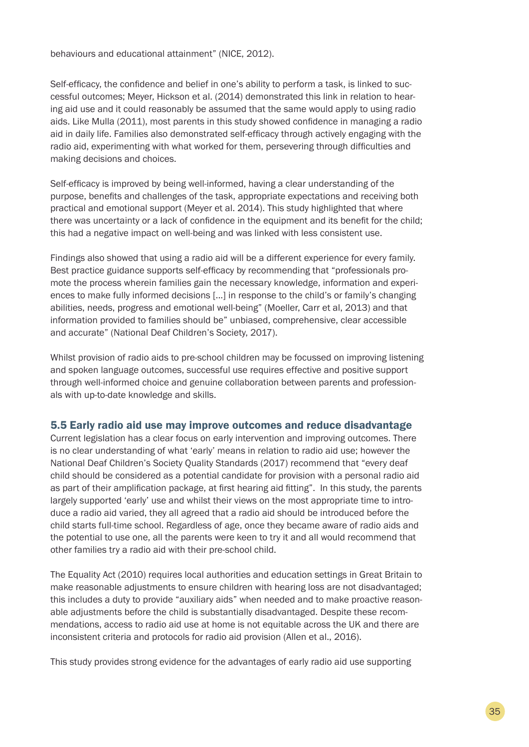behaviours and educational attainment" (NICE, 2012).

Self-efficacy, the confidence and belief in one's ability to perform a task, is linked to successful outcomes; Meyer, Hickson et al. (2014) demonstrated this link in relation to hearing aid use and it could reasonably be assumed that the same would apply to using radio aids. Like Mulla (2011), most parents in this study showed confidence in managing a radio aid in daily life. Families also demonstrated self-efficacy through actively engaging with the radio aid, experimenting with what worked for them, persevering through difficulties and making decisions and choices.

Self-efficacy is improved by being well-informed, having a clear understanding of the purpose, benefits and challenges of the task, appropriate expectations and receiving both practical and emotional support (Meyer et al. 2014). This study highlighted that where there was uncertainty or a lack of confidence in the equipment and its benefit for the child; this had a negative impact on well-being and was linked with less consistent use.

Findings also showed that using a radio aid will be a different experience for every family. Best practice guidance supports self-efficacy by recommending that "professionals promote the process wherein families gain the necessary knowledge, information and experiences to make fully informed decisions [...] in response to the child's or family's changing abilities, needs, progress and emotional well-being" (Moeller, Carr et al, 2013) and that information provided to families should be" unbiased, comprehensive, clear accessible and accurate" (National Deaf Children's Society, 2017).

Whilst provision of radio aids to pre-school children may be focussed on improving listening and spoken language outcomes, successful use requires effective and positive support through well-informed choice and genuine collaboration between parents and professionals with up-to-date knowledge and skills.

## 5.5 Early radio aid use may improve outcomes and reduce disadvantage

Current legislation has a clear focus on early intervention and improving outcomes. There is no clear understanding of what 'early' means in relation to radio aid use; however the National Deaf Children's Society Quality Standards (2017) recommend that "every deaf child should be considered as a potential candidate for provision with a personal radio aid as part of their amplification package, at first hearing aid fitting". In this study, the parents largely supported 'early' use and whilst their views on the most appropriate time to introduce a radio aid varied, they all agreed that a radio aid should be introduced before the child starts full-time school. Regardless of age, once they became aware of radio aids and the potential to use one, all the parents were keen to try it and all would recommend that other families try a radio aid with their pre-school child.

The Equality Act (2010) requires local authorities and education settings in Great Britain to make reasonable adjustments to ensure children with hearing loss are not disadvantaged; this includes a duty to provide "auxiliary aids" when needed and to make proactive reasonable adjustments before the child is substantially disadvantaged. Despite these recommendations, access to radio aid use at home is not equitable across the UK and there are inconsistent criteria and protocols for radio aid provision (Allen et al., 2016).

This study provides strong evidence for the advantages of early radio aid use supporting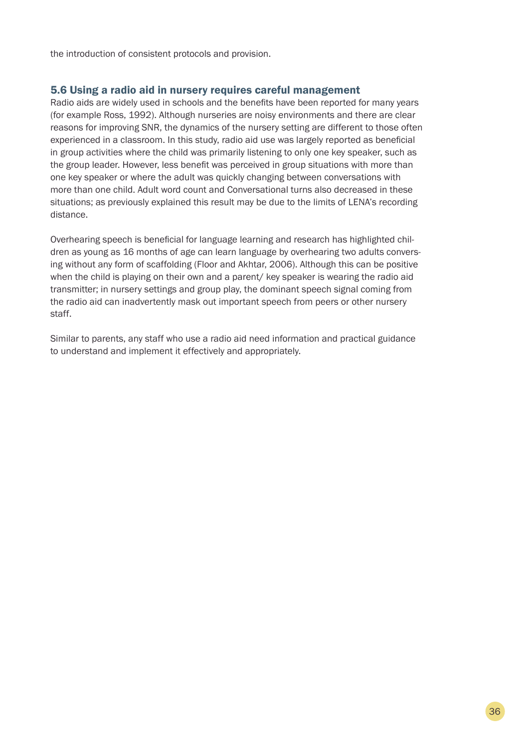the introduction of consistent protocols and provision.

## 5.6 Using a radio aid in nursery requires careful management

Radio aids are widely used in schools and the benefits have been reported for many years (for example Ross, 1992). Although nurseries are noisy environments and there are clear reasons for improving SNR, the dynamics of the nursery setting are different to those often experienced in a classroom. In this study, radio aid use was largely reported as beneficial in group activities where the child was primarily listening to only one key speaker, such as the group leader. However, less benefit was perceived in group situations with more than one key speaker or where the adult was quickly changing between conversations with more than one child. Adult word count and Conversational turns also decreased in these situations; as previously explained this result may be due to the limits of LENA's recording distance.

Overhearing speech is beneficial for language learning and research has highlighted children as young as 16 months of age can learn language by overhearing two adults conversing without any form of scaffolding (Floor and Akhtar, 2006). Although this can be positive when the child is playing on their own and a parent/ key speaker is wearing the radio aid transmitter; in nursery settings and group play, the dominant speech signal coming from the radio aid can inadvertently mask out important speech from peers or other nursery staff.

Similar to parents, any staff who use a radio aid need information and practical guidance to understand and implement it effectively and appropriately.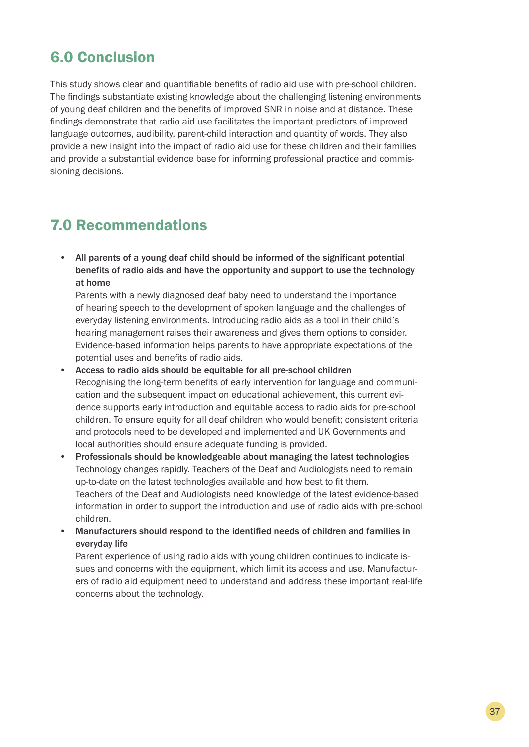## 6.0 Conclusion

This study shows clear and quantifiable benefits of radio aid use with pre-school children. The findings substantiate existing knowledge about the challenging listening environments of young deaf children and the benefits of improved SNR in noise and at distance. These findings demonstrate that radio aid use facilitates the important predictors of improved language outcomes, audibility, parent-child interaction and quantity of words. They also provide a new insight into the impact of radio aid use for these children and their families and provide a substantial evidence base for informing professional practice and commissioning decisions.

## 7.0 Recommendations

• All parents of a young deaf child should be informed of the significant potential benefits of radio aids and have the opportunity and support to use the technology at home

Parents with a newly diagnosed deaf baby need to understand the importance of hearing speech to the development of spoken language and the challenges of everyday listening environments. Introducing radio aids as a tool in their child's hearing management raises their awareness and gives them options to consider. Evidence-based information helps parents to have appropriate expectations of the potential uses and benefits of radio aids.

- Access to radio aids should be equitable for all pre-school children Recognising the long-term benefits of early intervention for language and communication and the subsequent impact on educational achievement, this current evidence supports early introduction and equitable access to radio aids for pre-school children. To ensure equity for all deaf children who would benefit; consistent criteria and protocols need to be developed and implemented and UK Governments and local authorities should ensure adequate funding is provided.
- Professionals should be knowledgeable about managing the latest technologies Technology changes rapidly. Teachers of the Deaf and Audiologists need to remain up-to-date on the latest technologies available and how best to fit them. Teachers of the Deaf and Audiologists need knowledge of the latest evidence-based information in order to support the introduction and use of radio aids with pre-school children.
- Manufacturers should respond to the identified needs of children and families in everyday life

Parent experience of using radio aids with young children continues to indicate issues and concerns with the equipment, which limit its access and use. Manufacturers of radio aid equipment need to understand and address these important real-life concerns about the technology.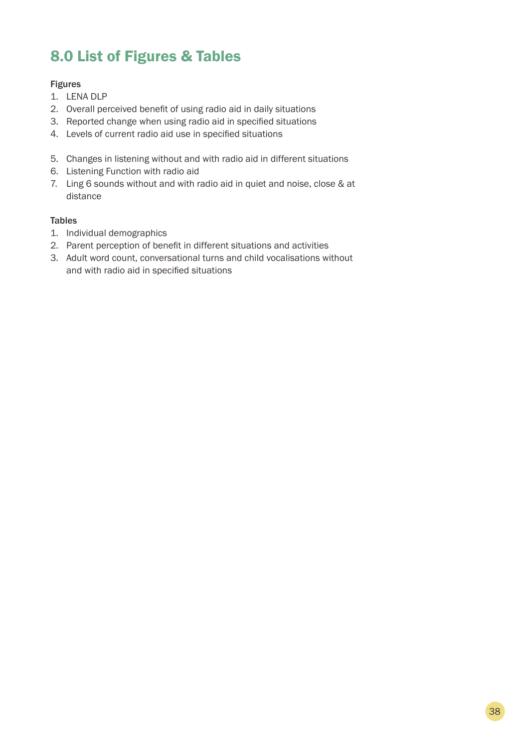## 8.0 List of Figures & Tables

## Figures

- 1. LENA DLP
- 2. Overall perceived benefit of using radio aid in daily situations
- 3. Reported change when using radio aid in specified situations
- 4. Levels of current radio aid use in specified situations
- 5. Changes in listening without and with radio aid in different situations
- 6. Listening Function with radio aid
- 7. Ling 6 sounds without and with radio aid in quiet and noise, close & at distance

## **Tables**

- 1. Individual demographics
- 2. Parent perception of benefit in different situations and activities
- 3. Adult word count, conversational turns and child vocalisations without and with radio aid in specified situations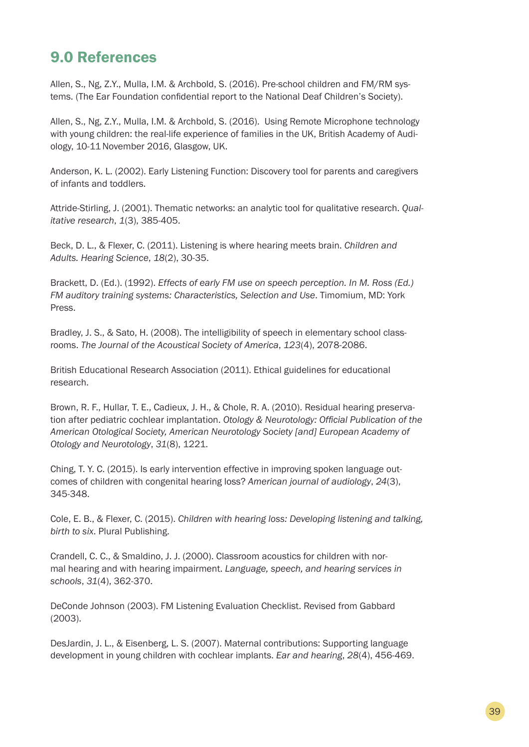## 9.0 References

Allen, S., Ng, Z.Y., Mulla, I.M. & Archbold, S. (2016). Pre-school children and FM/RM systems. (The Ear Foundation confidential report to the National Deaf Children's Society).

Allen, S., Ng, Z.Y., Mulla, I.M. & Archbold, S. (2016). Using Remote Microphone technology with young children: the real-life experience of families in the UK, British Academy of Audiology, 10-11November 2016, Glasgow, UK.

Anderson, K. L. (2002). Early Listening Function: Discovery tool for parents and caregivers of infants and toddlers.

Attride-Stirling, J. (2001). Thematic networks: an analytic tool for qualitative research. *Qualitative research*, *1*(3), 385-405.

Beck, D. L., & Flexer, C. (2011). Listening is where hearing meets brain. *Children and Adults. Hearing Science*, *18*(2), 30-35.

Brackett, D. (Ed.). (1992). *Effects of early FM use on speech perception. In M. Ross (Ed.) FM auditory training systems: Characteristics, Selection and Use*. Timomium, MD: York Press.

Bradley, J. S., & Sato, H. (2008). The intelligibility of speech in elementary school classrooms. *The Journal of the Acoustical Society of America*, *123*(4), 2078-2086.

British Educational Research Association (2011). Ethical guidelines for educational research.

Brown, R. F., Hullar, T. E., Cadieux, J. H., & Chole, R. A. (2010). Residual hearing preservation after pediatric cochlear implantation. *Otology & Neurotology: Official Publication of the American Otological Society, American Neurotology Society [and] European Academy of Otology and Neurotology*, *31*(8), 1221.

Ching, T. Y. C. (2015). Is early intervention effective in improving spoken language outcomes of children with congenital hearing loss? *American journal of audiology*, *24*(3), 345-348.

Cole, E. B., & Flexer, C. (2015). *Children with hearing loss: Developing listening and talking, birth to six*. Plural Publishing.

Crandell, C. C., & Smaldino, J. J. (2000). Classroom acoustics for children with normal hearing and with hearing impairment. *Language, speech, and hearing services in schools*, *31*(4), 362-370.

DeConde Johnson (2003). FM Listening Evaluation Checklist. Revised from Gabbard (2003).

DesJardin, J. L., & Eisenberg, L. S. (2007). Maternal contributions: Supporting language development in young children with cochlear implants. *Ear and hearing*, *28*(4), 456-469.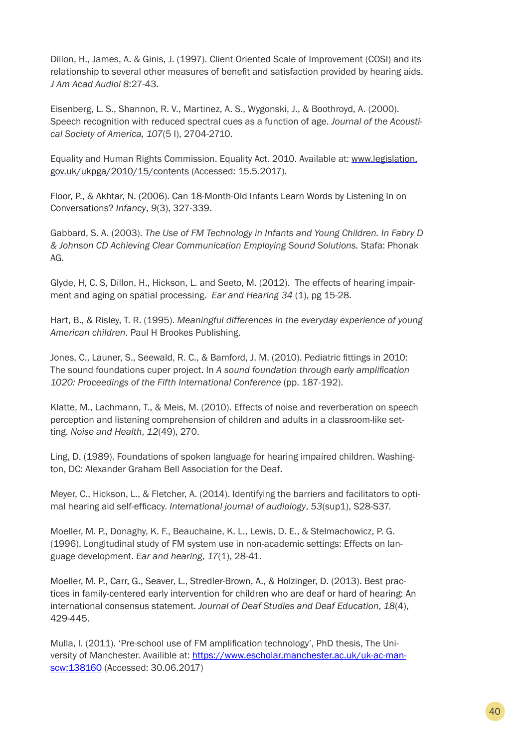Dillon, H., James, A. & Ginis, J. (1997). Client Oriented Scale of Improvement (COSI) and its relationship to several other measures of benefit and satisfaction provided by hearing aids. *J Am Acad Audiol 8*:27-43.

Eisenberg, L. S., Shannon, R. V., Martinez, A. S., Wygonski, J., & Boothroyd, A. (2000). Speech recognition with reduced spectral cues as a function of age. *Journal of the Acoustical Society of America, 107*(5 I), 2704-2710.

Equality and Human Rights Commission. Equality Act. 2010. Available at: www.legislation. gov.uk/ukpga/2010/15/contents (Accessed: 15.5.2017).

Floor, P., & Akhtar, N. (2006). Can 18-Month-Old Infants Learn Words by Listening In on Conversations? *Infancy*, *9*(3), 327-339.

Gabbard, S. A. (2003). *The Use of FM Technology in Infants and Young Children. In Fabry D & Johnson CD Achieving Clear Communication Employing Sound Solutions.* Stafa: Phonak AG.

Glyde, H, C. S, Dillon, H., Hickson, L. and Seeto, M. (2012). The effects of hearing impairment and aging on spatial processing. *Ear and Hearing 34* (1), pg 15-28.

Hart, B., & Risley, T. R. (1995). *Meaningful differences in the everyday experience of young American children*. Paul H Brookes Publishing.

Jones, C., Launer, S., Seewald, R. C., & Bamford, J. M. (2010). Pediatric fittings in 2010: The sound foundations cuper project. In *A sound foundation through early amplification 1020: Proceedings of the Fifth International Conference* (pp. 187-192).

Klatte, M., Lachmann, T., & Meis, M. (2010). Effects of noise and reverberation on speech perception and listening comprehension of children and adults in a classroom-like setting. *Noise and Health*, *12*(49), 270.

Ling, D. (1989). Foundations of spoken language for hearing impaired children. Washington, DC: Alexander Graham Bell Association for the Deaf.

Meyer, C., Hickson, L., & Fletcher, A. (2014). Identifying the barriers and facilitators to optimal hearing aid self-efficacy. *International journal of audiology*, *53*(sup1), S28-S37.

Moeller, M. P., Donaghy, K. F., Beauchaine, K. L., Lewis, D. E., & Stelmachowicz, P. G. (1996). Longitudinal study of FM system use in non-academic settings: Effects on language development. *Ear and hearing*, *17*(1), 28-41.

Moeller, M. P., Carr, G., Seaver, L., Stredler-Brown, A., & Holzinger, D. (2013). Best practices in family-centered early intervention for children who are deaf or hard of hearing: An international consensus statement. *Journal of Deaf Studies and Deaf Education*, *18*(4), 429-445.

Mulla, I. (2011). 'Pre-school use of FM amplification technology', PhD thesis, The University of Manchester. Availible at: https://www.escholar.manchester.ac.uk/uk-ac-manscw:138160 (Accessed: 30.06.2017)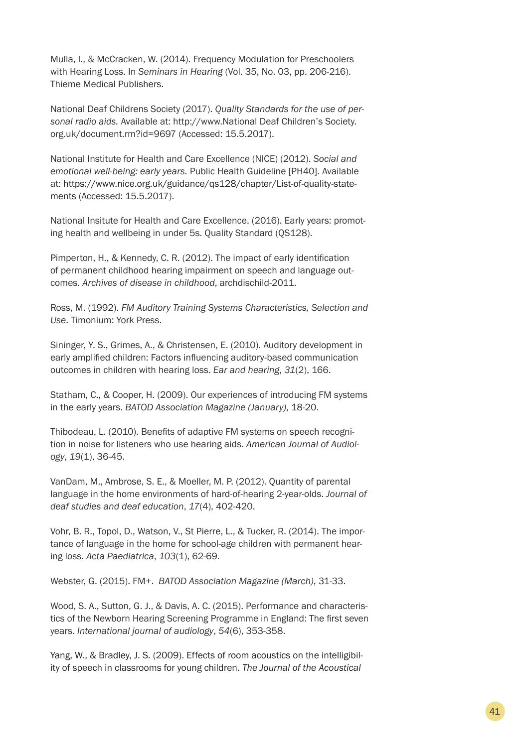Mulla, I., & McCracken, W. (2014). Frequency Modulation for Preschoolers with Hearing Loss. In *Seminars in Hearing* (Vol. 35, No. 03, pp. 206-216). Thieme Medical Publishers.

National Deaf Childrens Society (2017). *Quality Standards for the use of personal radio aids.* Available at: http://www.National Deaf Children's Society. org.uk/document.rm?id=9697 (Accessed: 15.5.2017).

National Institute for Health and Care Excellence (NICE) (2012). *Social and emotional well-being: early years.* Public Health Guideline [PH40]. Available at: https://www.nice.org.uk/guidance/qs128/chapter/List-of-quality-statements (Accessed: 15.5.2017).

National Insitute for Health and Care Excellence. (2016). Early years: promoting health and wellbeing in under 5s. Quality Standard (QS128).

Pimperton, H., & Kennedy, C. R. (2012). The impact of early identification of permanent childhood hearing impairment on speech and language outcomes. *Archives of disease in childhood*, archdischild-2011.

Ross, M. (1992). *FM Auditory Training Systems Characteristics, Selection and Use*. Timonium: York Press.

Sininger, Y. S., Grimes, A., & Christensen, E. (2010). Auditory development in early amplified children: Factors influencing auditory-based communication outcomes in children with hearing loss. *Ear and hearing*, *31*(2), 166.

Statham, C., & Cooper, H. (2009). Our experiences of introducing FM systems in the early years. *BATOD Association Magazine (January)*, 18-20.

Thibodeau, L. (2010). Benefits of adaptive FM systems on speech recognition in noise for listeners who use hearing aids. *American Journal of Audiology*, *19*(1), 36-45.

VanDam, M., Ambrose, S. E., & Moeller, M. P. (2012). Quantity of parental language in the home environments of hard-of-hearing 2-year-olds. *Journal of deaf studies and deaf education*, *17*(4), 402-420.

Vohr, B. R., Topol, D., Watson, V., St Pierre, L., & Tucker, R. (2014). The importance of language in the home for school-age children with permanent hearing loss. *Acta Paediatrica*, *103*(1), 62-69.

Webster, G. (2015). FM+. *BATOD Association Magazine (March)*, 31-33.

Wood, S. A., Sutton, G. J., & Davis, A. C. (2015). Performance and characteristics of the Newborn Hearing Screening Programme in England: The first seven years. *International journal of audiology*, *54*(6), 353-358.

Yang, W., & Bradley, J. S. (2009). Effects of room acoustics on the intelligibility of speech in classrooms for young children. *The Journal of the Acoustical*